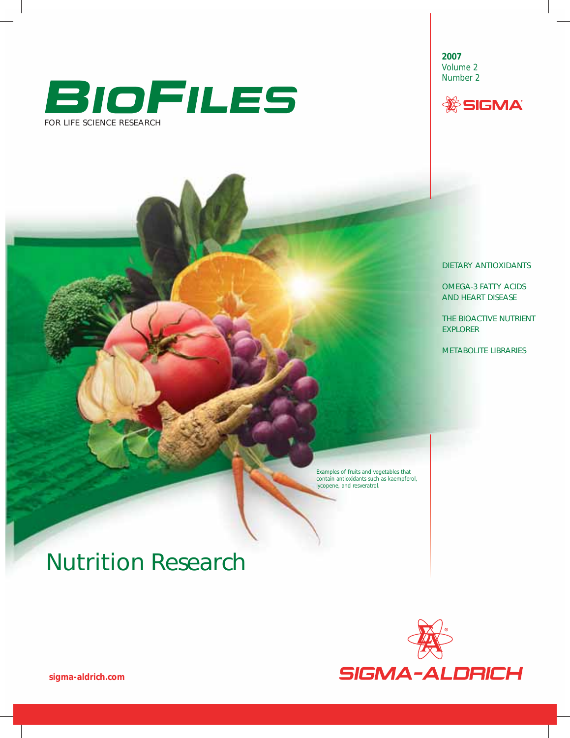

**2007** Volume 2 Number 2



DIETARY ANTIOXIDANTS

OMEGA-3 FATTY ACIDS AND HEART DISEASE

THE BIOACTIVE NUTRIENT EXPLORER

METABOLITE LIBRARIES

Examples of fruits and vegetables that contain antioxidants such as kaempferol, lycopene, and resveratrol.

# Nutrition Research



*sigma-aldrich.com*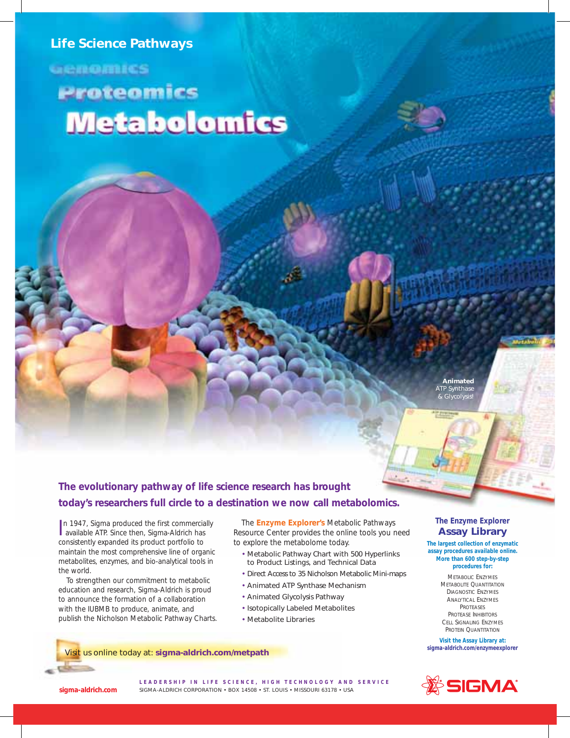## *Life Science Pathways*

**GENORINGS** 

# Proteomics **Metabolomics**

 *Animated ATP Synthase & Glycolysis!*

## **The evolutionary pathway of life science research has brought today's researchers full circle to a destination we now call metabolomics.**

In 1947, Sigma produced the first commercial<br>available ATP. Since then, Sigma-Aldrich has In 1947, Sigma produced the first commercially consistently expanded its product portfolio to maintain the most comprehensive line of organic metabolites, enzymes, and bio-analytical tools in the world.

To strengthen our commitment to metabolic education and research, Sigma-Aldrich is proud to announce the formation of a collaboration with the IUBMB to produce, animate, and publish the Nicholson Metabolic Pathway Charts.

The **Enzyme Explorer's** Metabolic Pathways Resource Center provides the online tools you need to explore the metabolome today.

- *Metabolic Pathway Chart with 500 Hyperlinks to Product Listings, and Technical Data*
- *Direct Access to 35 Nicholson Metabolic Mini-maps*
- *Animated ATP Synthase Mechanism*
- *Animated Glycolysis Pathway*
- *Isotopically Labeled Metabolites*
- *Metabolite Libraries*

## **The Enzyme Explorer Assay Library**

**The largest collection of enzymatic assay procedures available online. More than 600 step-by-step procedures for:**

> METABOLIC ENZYMES METABOLITE QUANTITATION DIAGNOSTIC ENZYMES ANALYTICAL ENZYMES PROTEASES PROTEASE INHIBITORS CELL SIGNALING ENZYMES PROTEIN QUANTITATION

**Visit the Assay Library at: sigma-aldrich.com/enzymeexplorer**



Visit us online today at: **sigma-aldrich.com/metpath**

*sigma-aldrich.com*

**LEADERSHIP IN LIFE SCIENCE, HIGH TECHNOLOGY AND SERVICE** SIGMA-ALDRICH CORPORATION • BOX 14508 • ST. LOUIS • MISSOURI 63178 • USA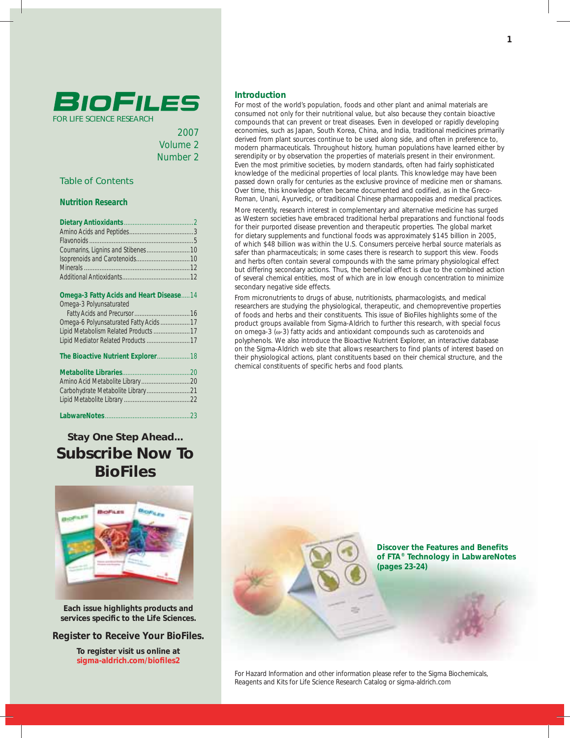

2007 Volume 2 Number 2

## Table of Contents

## **Nutrition Research**

## **Omega-3 Fatty Acids and Heart Disease** .....14

| Omega-3 Polyunsaturated                |  |
|----------------------------------------|--|
|                                        |  |
| Omega-6 Polyunsaturated Fatty Acids 17 |  |
| Lipid Metabolism Related Products 17   |  |
| Lipid Mediator Related Products 17     |  |
|                                        |  |
|                                        |  |
|                                        |  |
|                                        |  |
|                                        |  |
|                                        |  |
|                                        |  |
|                                        |  |

*Stay One Step Ahead... Subscribe Now To BioFiles*



*Each issue highlights products and*  services specific to the Life Sciences.

**Register to Receive Your BioFiles.**

**To register visit us online at**  sigma-aldrich.com/biofiles2

## **Introduction**

For most of the world's population, foods and other plant and animal materials are consumed not only for their nutritional value, but also because they contain bioactive compounds that can prevent or treat diseases. Even in developed or rapidly developing economies, such as Japan, South Korea, China, and India, traditional medicines primarily derived from plant sources continue to be used along side, and often in preference to, modern pharmaceuticals. Throughout history, human populations have learned either by serendipity or by observation the properties of materials present in their environment. Even the most primitive societies, by modern standards, often had fairly sophisticated knowledge of the medicinal properties of local plants. This knowledge may have been passed down orally for centuries as the exclusive province of medicine men or shamans. Over time, this knowledge often became documented and codified, as in the Greco-Roman, Unani, Ayurvedic, or traditional Chinese pharmacopoeias and medical practices. More recently, research interest in complementary and alternative medicine has surged as Western societies have embraced traditional herbal preparations and functional foods for their purported disease prevention and therapeutic properties. The global market for dietary supplements and functional foods was approximately \$145 billion in 2005, of which \$48 billion was within the U.S. Consumers perceive herbal source materials as safer than pharmaceuticals; in some cases there is research to support this view. Foods and herbs often contain several compounds with the same primary physiological effect but differing secondary actions. Thus, the beneficial effect is due to the combined action of several chemical entities, most of which are in low enough concentration to minimize secondary negative side effects.

From micronutrients to drugs of abuse, nutritionists, pharmacologists, and medical researchers are studying the physiological, therapeutic, and chemopreventive properties of foods and herbs and their constituents. This issue of BioFiles highlights some of the product groups available from Sigma-Aldrich to further this research, with special focus on omega-3 (w-3) fatty acids and antioxidant compounds such as carotenoids and polyphenols. We also introduce the Bioactive Nutrient Explorer, an interactive database on the Sigma-Aldrich web site that allows researchers to find plants of interest based on their physiological actions, plant constituents based on their chemical structure, and the chemical constituents of specific herbs and food plants.

> **Discover the Features and Benefits of FTA® Technology in LabwareNotes (pages 23-24)**

*For Hazard Information and other information please refer to the Sigma Biochemicals, Reagents and Kits for Life Science Research Catalog or sigma-aldrich.com*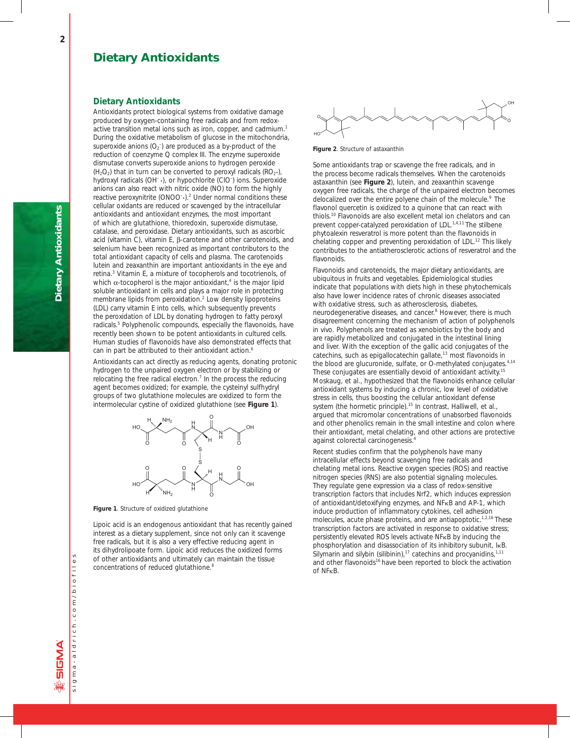## **Dietary Antioxidants**

Antioxidants protect biological systems from oxidative damage produced by oxygen-containing free radicals and from redoxactive transition metal ions such as iron, copper, and cadmium.<sup>1</sup> During the oxidative metabolism of glucose in the mitochondria, superoxide anions  $(O_2^-)$  are produced as a by-product of the reduction of coenzyme Q complex III. The enzyme superoxide dismutase converts superoxide anions to hydrogen peroxide  $(H_2O_2)$  that in turn can be converted to peroxyl radicals  $(RO_2 \cdot)$ , hydroxyl radicals (OH<sup>-</sup>.), or hypochlorite (CIO<sup>-</sup>) ions. Superoxide anions can also react with nitric oxide (NO) to form the highly reactive peroxynitrite (ONOO<sup>-</sup>).<sup>2</sup> Under normal conditions these cellular oxidants are reduced or scavenged by the intracellular antioxidants and antioxidant enzymes, the most important of which are glutathione, thioredoxin, superoxide dismutase, catalase, and peroxidase. Dietary antioxidants, such as ascorbic acid (vitamin C), vitamin E, β-carotene and other carotenoids, and selenium have been recognized as important contributors to the total antioxidant capacity of cells and plasma. The carotenoids lutein and zeaxanthin are important antioxidants in the eye and retina.<sup>3</sup> Vitamin E, a mixture of tocopherols and tocotrienols, of which  $\alpha$ -tocopherol is the major antioxidant,<sup>4</sup> is the major lipid soluble antioxidant in cells and plays a major role in protecting membrane lipids from peroxidation.<sup>2</sup> Low density lipoproteins (LDL) carry vitamin E into cells, which subsequently prevents the peroxidation of LDL by donating hydrogen to fatty peroxyl radicals.<sup>5</sup> Polyphenolic compounds, especially the flavonoids, have recently been shown to be potent antioxidants in cultured cells. Human studies of flavonoids have also demonstrated effects that can in part be attributed to their antioxidant action.<sup>6</sup>

Antioxidants can act directly as reducing agents, donating protonic hydrogen to the unpaired oxygen electron or by stabilizing or relocating the free radical electron.<sup>7</sup> In the process the reducing agent becomes oxidized; for example, the cysteinyl sulfhydryl groups of two glutathione molecules are oxidized to form the intermolecular cystine of oxidized glutathione (see **Figure 1**).



**Figure 1**. Structure of oxidized glutathione

Lipoic acid is an endogenous antioxidant that has recently gained interest as a dietary supplement, since not only can it scavenge free radicals, but it is also a very effective reducing agent in its dihydrolipoate form. Lipoic acid reduces the oxidized forms of other antioxidants and ultimately can maintain the tissue concentrations of reduced glutathione.<sup>8</sup>



**Figure 2**. Structure of astaxanthin

Some antioxidants trap or scavenge the free radicals, and in the process become radicals themselves. When the carotenoids astaxanthin (see **Figure 2**), lutein, and zeaxanthin scavenge oxygen free radicals, the charge of the unpaired electron becomes delocalized over the entire polyene chain of the molecule.<sup>9</sup> The flavonol quercetin is oxidized to a quinone that can react with thiols.10 Flavonoids are also excellent metal ion chelators and can prevent copper-catalyzed peroxidation of LDL.<sup>1,4,11</sup> The stilbene phytoalexin resveratrol is more potent than the flavonoids in chelating copper and preventing peroxidation of LDL.<sup>12</sup> This likely contributes to the antiatherosclerotic actions of resveratrol and the flavonoids.

Flavonoids and carotenoids, the major dietary antioxidants, are ubiquitous in fruits and vegetables. Epidemiological studies indicate that populations with diets high in these phytochemicals also have lower incidence rates of chronic diseases associated with oxidative stress, such as atherosclerosis, diabetes, neurodegenerative diseases, and cancer.<sup>8</sup> However, there is much disagreement concerning the mechanism of action of polyphenols *in vivo*. Polyphenols are treated as xenobiotics by the body and are rapidly metabolized and conjugated in the intestinal lining and liver. With the exception of the gallic acid conjugates of the catechins, such as epigallocatechin gallate,13 most flavonoids in the blood are glucuronide, sulfate, or O-methylated conjugates.<sup>4,14</sup> These conjugates are essentially devoid of antioxidant activity.<sup>15</sup> Moskaug, et al., hypothesized that the flavonoids enhance cellular antioxidant systems by inducing a chronic, low level of oxidative stress in cells, thus boosting the cellular antioxidant defense system (the hormetic principle).<sup>15</sup> In contrast, Halliwell, et al., argued that micromolar concentrations of unabsorbed flavonoids and other phenolics remain in the small intestine and colon where their antioxidant, metal chelating, and other actions are protective against colorectal carcinogenesis.4

Recent studies confirm that the polyphenols have many intracellular effects beyond scavenging free radicals and chelating metal ions. Reactive oxygen species (ROS) and reactive nitrogen species (RNS) are also potential signaling molecules. They regulate gene expression via a class of redox-sensitive transcription factors that includes Nrf2, which induces expression of antioxidant/detoxifying enzymes, and NFkB and AP-1, which induce production of inflammatory cytokines, cell adhesion molecules, acute phase proteins, and are antiapoptotic.<sup>1,2,16</sup> These transcription factors are activated in response to oxidative stress; persistently elevated ROS levels activate NFkB by inducing the phosphorylation and disassociation of its inhibitory subunit, IkB. Silymarin and silybin (silibinin),<sup>17</sup> catechins and procyanidins, $1,11$ and other flavonoids<sup>16</sup> have been reported to block the activation of NFκB.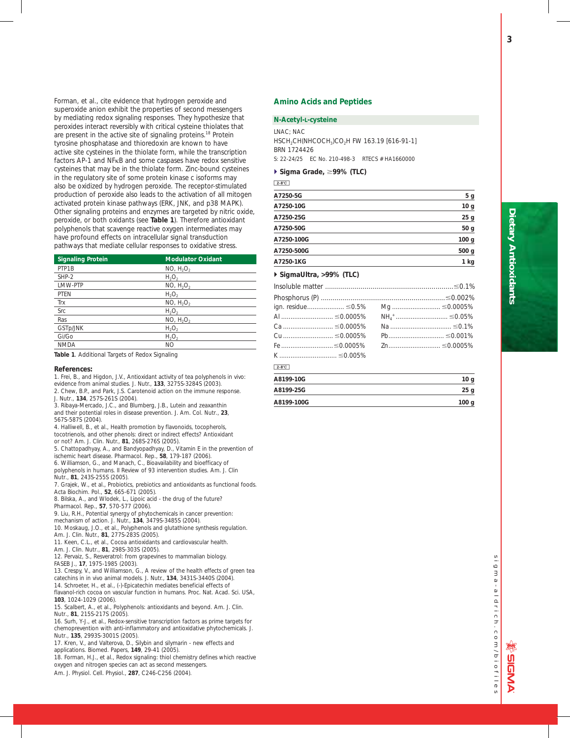Forman, et al., cite evidence that hydrogen peroxide and superoxide anion exhibit the properties of second messengers by mediating redox signaling responses. They hypothesize that peroxides interact reversibly with critical cysteine thiolates that are present in the active site of signaling proteins.<sup>18</sup> Protein tyrosine phosphatase and thioredoxin are known to have active site cysteines in the thiolate form, while the transcription factors AP-1 and NFκB and some caspases have redox sensitive cysteines that may be in the thiolate form. Zinc-bound cysteines in the regulatory site of some protein kinase c isoforms may also be oxidized by hydrogen peroxide. The receptor-stimulated production of peroxide also leads to the activation of all mitogen activated protein kinase pathways (ERK, JNK, and p38 MAPK). Other signaling proteins and enzymes are targeted by nitric oxide, peroxide, or both oxidants (see **Table 1**). Therefore antioxidant polyphenols that scavenge reactive oxygen intermediates may have profound effects on intracellular signal transduction pathways that mediate cellular responses to oxidative stress.

| <b>Signaling Protein</b> | <b>Modulator Oxidant</b>          |
|--------------------------|-----------------------------------|
| PTP1B                    | NO, H <sub>2</sub> O <sub>2</sub> |
| $SHP-2$                  | $H_2O_2$                          |
| LMW-PTP                  | NO, H <sub>2</sub> O <sub>2</sub> |
| <b>PTEN</b>              | $H_2O_2$                          |
| Trx                      | NO, H <sub>2</sub> O <sub>2</sub> |
| Src                      | $H_2O_2$                          |
| Ras                      | NO, H <sub>2</sub> O <sub>2</sub> |
| GSTp/JNK                 | $H_2O_2$                          |
| Gi/Go                    | $H_2O_2$                          |
| <b>NMDA</b>              | NO                                |

**Table 1**. Additional Targets of Redox Signaling

#### **References:**

1. Frei, B., and Higdon, J.V., Antioxidant activity of tea polyphenols *in vivo*: evidence from animal studies. *J. Nutr.,* **133**, 3275S-3284S (2003).

- 2. Chew, B.P., and Park, J.S. Carotenoid action on the immune response. *J. Nutr*., **134**, 257S-261S (2004).
- 
- 3. Ribaya-Mercado, J.C., and Blumberg, J.B., Lutein and zeaxanthin and their potential roles in disease prevention. *J. Am. Col. Nutr*., **23**, 567S-587S (2004).

4. Halliwell, B., et al., Health promotion by flavonoids, tocopherols, tocotrienols, and other phenols: direct or indirect effects? Antioxidant or not? *Am. J. Clin. Nutr.*, **81**, 268S-276S (2005).

5. Chattopadhyay, A., and Bandyopadhyay, D., Vitamin E in the prevention of

ischemic heart disease. *Pharmacol. Rep.*, **58**, 179-187 (2006).

6. Williamson, G., and Manach, C., Bioavailability and bioefficacy of polyphenols in humans. II Review of 93 intervention studies. *Am. J. Clin Nutr*., **81**, 243S-255S (2005).

7. Grajek, W., et al., Probiotics, prebiotics and antioxidants as functional foods. *Acta Biochim. Pol*., **52**, 665-671 (2005).

8. Bilska, A., and Wlodek, L., Lipoic acid - the drug of the future?

*Pharmacol. Rep*., **57**, 570-577 (2006).

9. Liu, R.H., Potential synergy of phytochemicals in cancer prevention:

mechanism of action. *J. Nutr.*, **134**, 3479S-3485S (2004).

10. Moskaug, J.O., et al., Polyphenols and glutathione synthesis regulation.

*Am. J. Clin. Nutr.*, **81**, 277S-283S (2005). 11. Keen, C.L., et al., Cocoa antioxidants and cardiovascular health.

*Am. J. Clin. Nutr*., **81**, 298S-303S (2005).

12. Pervaiz, S., Resveratrol: from grapevines to mammalian biology. *FASEB J.*, **17**, 1975-1985 (2003).

13. Crespy, V., and Williamson, G., A review of the health effects of green tea catechins in *in vivo* animal models. *J. Nutr.*, **134**, 3431S-3440S (2004). 14. Schroeter, H., et al., (-)-Epicatechin mediates beneficial effects of

flavanol-rich cocoa on vascular function in humans. *Proc. Nat. Acad. Sci. USA*, **103**, 1024-1029 (2006).

15. Scalbert, A., et al., Polyphenols: antioxidants and beyond. *Am. J. Clin*. *Nutr*., **81**, 215S-217S (2005).

16. Surh, Y-J., et al., Redox-sensitive transcription factors as prime targets for chemoprevention with anti-inflammatory and antioxidative phytochemicals. *J. Nutr*., **135**, 2993S-3001S (2005).

17. Kren, V., and Valterova, D., Silybin and silymarin - new effects and applications. *Biomed. Papers*, **149**, 29-41 (2005).

18. Forman, H.J., et al., Redox signaling: thiol chemistry defines which reactive oxygen and nitrogen species can act as second messengers.

*Am. J. Physiol. Cell. Physiol*., **287**, C246-C256 (2004).

## **Amino Acids and Peptides**

#### *N***-Acetyl-L-cysteine**

LNAC; NAC HSCH2CH(NHCOCH3)CO2H FW 163.19 [616-91-1] BRN 1724426

S: 22-24/25 EC No. 210-498-3 RTECS # HA1660000

## **▶ Sigma Grade, ≥99% (TLC)**

 $2-8$ °C

| A7250-5G   | 5 g              |
|------------|------------------|
| A7250-10G  | 10 <sub>g</sub>  |
| A7250-25G  | 25 <sub>g</sub>  |
| A7250-50G  | 50 <sub>g</sub>  |
| A7250-100G | 100 <sub>g</sub> |
| A7250-500G | 500 <sub>g</sub> |
| A7250-1KG  | 1 kg             |

## - **SigmaUltra, >99% (TLC)**

| Cu  ≤0.0005% |
|--------------|

## $2 - 8^\circ$ C

| A8199-10G  | 10 <sub>g</sub>  |
|------------|------------------|
| A8199-25G  | 25 g             |
| A8199-100G | 100 <sub>g</sub> |

# sigma-aldrich.com/biofiles  $\overline{6}$  $\overline{3}$  $a - a$  | drich.com/biofiles

**3**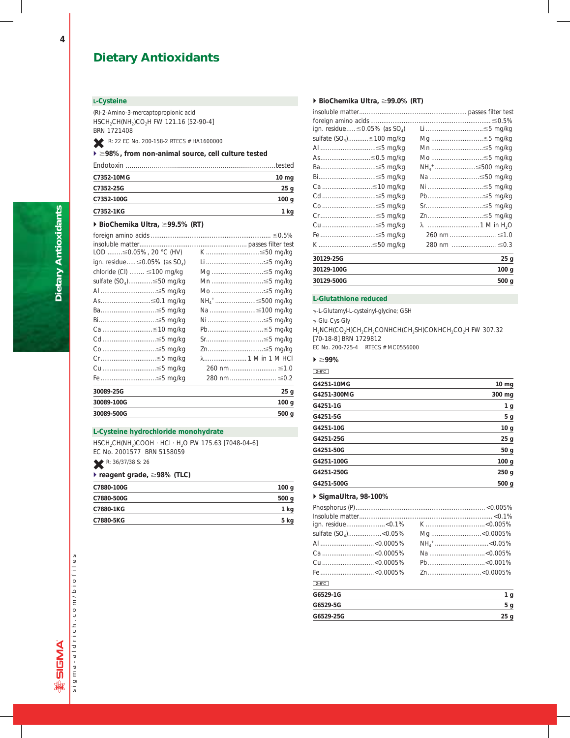## **L-Cysteine**

(R)-2-Amino-3-mercaptopropionic acid HSCH2CH(NH2)CO2H FW 121.16 [52-90-4] BRN 1721408

R: 22 EC No. 200-158-2 RTECS # HA1600000

## ▶ ≥98%, from non-animal source, cell culture tested

|            | tested          |
|------------|-----------------|
| C7352-10MG | $10 \text{ mg}$ |
| C7352-25G  | 25q             |
| C7352-100G | 100q            |
| C7352-1KG  | kq              |

## ▶ BioChemika Ultra, ≥99.5% (RT)

| LOD $\leq$ 0.05%, 20 °C (HV)<br>ign. residue $\leq$ 0.05% (as SO <sub>4</sub> )<br>chloride $(Cl)$ $\leq 100$ mg/kg<br>sulfate (SO <sub>4</sub> )≤50 mg/kg<br>Al ≤5 mg/kg<br>As≤0.1 mg/kg<br>Ba≤5 mg/kg<br>Bi≤5 mg/kg | K ≤50 mg/kg<br>Li ≤5 mg/kg<br>Mg ≤5 mg/kg<br>Mn ≤5 mg/kg<br>Mo ≤5 mg/kg<br>NH <sub>4</sub> <sup>+</sup> ……………………≤500 mg/kg<br>Na ≤100 mg/kg<br>Ni ≤5 mg/kg |
|-----------------------------------------------------------------------------------------------------------------------------------------------------------------------------------------------------------------------|------------------------------------------------------------------------------------------------------------------------------------------------------------|
| Ca ≤10 mg/kg<br>Cd ≤5 mg/kg                                                                                                                                                                                           | Pb…………………………≤5 mg/kg<br>Sr≤5 mg/kg                                                                                                                         |
| Co ≤5 mg/kg                                                                                                                                                                                                           | Zn≤5 mg/kg                                                                                                                                                 |
| Cr ≤5 mg/kg                                                                                                                                                                                                           |                                                                                                                                                            |
| Cu ≤5 mg/kg                                                                                                                                                                                                           | 260 nm  ≤1.0                                                                                                                                               |
| Fe ≤5 mg/kg                                                                                                                                                                                                           | 280 nm  ≤0.2                                                                                                                                               |
| 30089-25G                                                                                                                                                                                                             | 25 g                                                                                                                                                       |
| 30089-100G                                                                                                                                                                                                            | 100 <sub>g</sub>                                                                                                                                           |
| 30089-500G                                                                                                                                                                                                            | 500 <sub>g</sub>                                                                                                                                           |

## **L-Cysteine hydrochloride monohydrate**

HSCH2CH(NH2)COOH · HCl · H2O FW 175.63 [7048-04-6] EC No. 2001577 BRN 5158059

R: 36/37/38 S: 26

## **▶ reagent grade, ≥98% (TLC)**

| C7880-100G | 100 <sub>g</sub> |
|------------|------------------|
| C7880-500G | 500 <sub>g</sub> |
| C7880-1KG  | 1 kg             |
| C7880-5KG  | 5 kg             |
|            |                  |

## ▶ BioChemika Ultra, ≥99.0% (RT)

| ign. residue $\leq$ 0.05% (as SO <sub>4</sub> ) | Li ……………………………≤5 mg/kg                  |
|-------------------------------------------------|-----------------------------------------|
| sulfate (SO <sub>4</sub> )≤100 mg/kg            | Mg ≤5 mg/kg                             |
| Al …………………………≤5 mg/kg                           | Mn ≤5 mg/kg                             |
| As≤0.5 mg/kg                                    | Mo ≤5 mg/kg                             |
| Ba≤5 mg/kg                                      | NH <sub>4</sub> <sup>+</sup> ≤500 mg/kg |
| Bi≤5 mg/kg                                      | Na ≤50 mg/kg                            |
| Ca ≤10 mg/kg                                    | Ni ≤5 mg/kg                             |
| Cd ≤5 mg/kg                                     | Pb≤5 mg/kg                              |
| Co ≤5 mg/kg                                     | Sr≤5 mg/kg                              |
| Cr≤5 mg/kg                                      | Zn≤5 mg/kg                              |
| Cu ≤5 mg/kg                                     | λ ………………………1 M in H <sub>2</sub> O      |
| Fe ≤5 mg/kg                                     | 260 nm  ≤1.0                            |
| K ≤50 mg/kg                                     | 280 nm  ≤0.3                            |
| 30129-25G                                       | 25 <sub>g</sub>                         |
| 30129-100G                                      | 100 <sub>g</sub>                        |
| 30129-500G                                      | 500 g                                   |

## **L-Glutathione reduced**

g-L-Glutamyl-L-cysteinyl-glycine; GSH

g-Glu-Cys-Gly

H<sub>2</sub>NCH(CO<sub>2</sub>H)CH<sub>2</sub>CH<sub>2</sub>CONHCH(CH<sub>2</sub>SH)CONHCH<sub>2</sub>CO<sub>2</sub>H FW 307.32 [70-18-8] BRN 1729812

EC No. 200-725-4 RTECS # MC0556000

## - ;**99%**

#### $2-8$ °C

| G4251-10MG  | $10 \, mg$      |
|-------------|-----------------|
| G4251-300MG | 300 mg          |
| G4251-1G    | 1 g             |
| G4251-5G    | 5 <sub>g</sub>  |
| G4251-10G   | 10 <sub>g</sub> |
| G4251-25G   | 25 g            |
| G4251-50G   | 50 g            |
| G4251-100G  | 100 g           |
| G4251-250G  | 250 g           |
| G4251-500G  | 500 g           |
|             |                 |

## - **SigmaUltra, 98-100%**

| ign. residue<0.1% |
|-------------------|
|                   |
|                   |
|                   |
|                   |
|                   |
|                   |
| 1 <sub>g</sub>    |
| 5 <sub>g</sub>    |
| 25 <sub>q</sub>   |
|                   |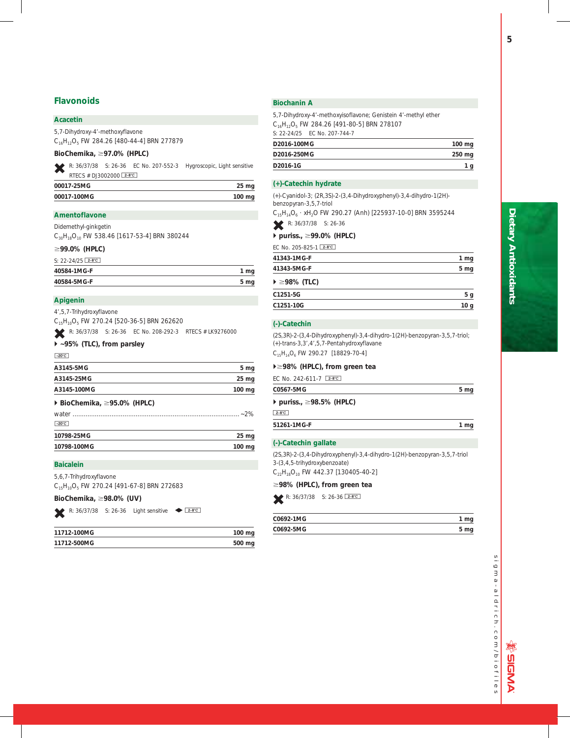## **Acacetin**

5,7-Dihydroxy-4'-methoxyflavone C16H12O5 FW 284.26 [480-44-4] BRN 277879

## *BioChemika***,** ;**97.0% (HPLC)**

L R: 36/37/38 S: 26-36 EC No. 207-552-3 Hygroscopic, Light sensitive RTECS # DJ3002000 2-8°C

| 00017-25MG  | 25 <sub>mg</sub> |
|-------------|------------------|
| 00017-100MG | 100 mg           |

## **Amentoflavone**

Didemethyl-ginkgetin

C<sub>30</sub>H<sub>18</sub>O<sub>10</sub> FW 538.46 [1617-53-4] BRN 380244

## ;**99.0% (HPLC)**

| S: $22 - 24/25$ 2-8°C |      |
|-----------------------|------|
| 40584-1MG-F           | 1 mg |
| 40584-5MG-F           | 5 mg |

## **Apigenin**

4',5,7-Trihydroxyflavone

C15H10O5 FW 270.24 [520-36-5] BRN 262620

R: 36/37/38 S: 26-36 EC No. 208-292-3 RTECS # LK9276000

## - **~95% (TLC), from parsley**

## $-20^{\circ}$ C

| A3145-5MG                                        | 5 mg             |
|--------------------------------------------------|------------------|
| A3145-25MG                                       | 25 <sub>mg</sub> |
| A3145-100MG                                      | $100 \text{ ma}$ |
| $\triangleright$ BioChemika, $\geq$ 95.0% (HPLC) |                  |
| $-20^{\circ}$ C                                  |                  |
| 10798-25MG                                       | $25 \mathrm{mg}$ |
| 10798-100MG                                      | 100 mg           |

## **Baicalein**

5,6,7-Trihydroxyflavone C<sub>15</sub>H<sub>10</sub>O<sub>5</sub> FW 270.24 [491-67-8] BRN 272683

## *BioChemika,* ;**98.0% (UV)**

R:  $36/37/38$  S: 26-36 Light sensitive  $\bullet$   $28^{\circ}$ 

| 11712-100MG | 100 mg |
|-------------|--------|
| 11712-500MG | 500 mg |
|             |        |

## **Biochanin A**

5,7-Dihydroxy-4'-methoxyisoflavone; Genistein 4'-methyl ether C16H12O5 FW 284.26 [491-80-5] BRN 278107 S: 22-24/25 EC No. 207-744-7 **D2016-100MG 100 mg**

| D2016-250MG | 250 mg |
|-------------|--------|
| D2016-1G    |        |

## **(+)-Catechin hydrate**

(+)-Cyanidol-3; (2R,3S)-2-(3,4-Dihydroxyphenyl)-3,4-dihydro-1(2H) benzopyran-3,5,7-triol

 $C_{15}H_{14}O_6$  · xH<sub>2</sub>O FW 290.27 (Anh) [225937-10-0] BRN 3595244 R: 36/37/38 S: 26-36

## **▶ puriss., ≥99.0% (HPLC)**

| EC No. 205-825-1 [2-8°C]              |                 |
|---------------------------------------|-----------------|
| 41343-1MG-F                           | 1 <sub>mg</sub> |
| 41343-5MG-F                           | 5 mg            |
| $\blacktriangleright \geq 98\%$ (TLC) |                 |

| C1251-5G  |  |
|-----------|--|
| C1251-10G |  |

## **(-)-Catechin**

(2S,3R)-2-(3,4-Dihydroxyphenyl)-3,4-dihydro-1(2H)-benzopyran-3,5,7-triol; (+)-*trans*-3,3',4',5,7-Pentahydroxyflavane C<sub>15</sub>H<sub>14</sub>O<sub>6</sub> FW 290.27 [18829-70-4]

## -;**98% (HPLC), from green tea**

| FC No. 242-611-7 $2-8$ °C                     |                 |
|-----------------------------------------------|-----------------|
| C0567-5MG                                     | 5 <sub>mg</sub> |
| $\triangleright$ puriss., $\geq$ 98.5% (HPLC) |                 |
| $2-8$ °C                                      |                 |

**51261-1MG-F 1 mg**

## **(-)-Catechin gallate**

(2S,3R)-2-(3,4-Dihydroxyphenyl)-3,4-dihydro-1(2H)-benzopyran-3,5,7-triol 3-(3,4,5-trihydroxybenzoate)

 $C_{22}H_{18}O_{10}$  FW 442.37 [130405-40-2]

## ;**98% (HPLC), from green tea**

R:  $36/37/38$  S:  $26-36$  2-8°C

| C0692-1MG |  |
|-----------|--|
| C0692-5MG |  |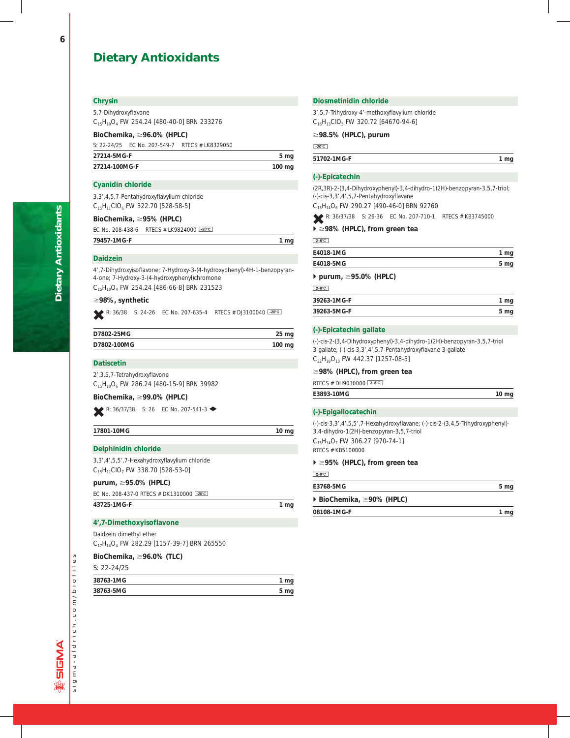## **Chrysin**

5,7-Dihydroxyflavone

C15H10O4 FW 254.24 [480-40-0] BRN 233276

## *BioChemika,* ;**96.0% (HPLC)**

S: 22-24/25 EC No. 207-549-7 RTECS # LK8329050

| 27214-5MG-F   | 5 mg   |
|---------------|--------|
| 27214-100MG-F | 100 mg |
|               |        |

## **Cyanidin chloride**

3,3',4,5,7-Pentahydroxyflavylium chloride  $C_{15}H_{11}ClO_6$  FW 322.70 [528-58-5]

## **BioChemika,** ;**95% (HPLC)**

EC No. 208-438-6 RTECS # LK9824000 -20°C

**79457-1MG-F 1 mg**

## **Daidzein**

4',7-Dihydroxyisoflavone; 7-Hydroxy-3-(4-hydroxyphenyl)-4H-1-benzopyran-4-one; 7-Hydroxy-3-(4-hydroxyphenyl)chromone C<sub>15</sub>H<sub>10</sub>O<sub>4</sub> FW 254.24 [486-66-8] BRN 231523

## ;**98%, synthetic**

R: 36/38 S: 24-26 EC No. 207-635-4 RTECS # DJ3100040  $\overline{20^{\circ}C}$ 

| D7802-25MG  | $25 \text{ mg}$  |
|-------------|------------------|
| D7802-100MG | $100 \text{ mg}$ |

## **Datiscetin**

2',3,5,7-Tetrahydroxyflavone C<sub>15</sub>H<sub>10</sub>O<sub>6</sub> FW 286.24 [480-15-9] BRN 39982

## **BioChemika,** ;**99.0% (HPLC)**

R: 36/37/38 S: 26 EC No. 207-541-3

| 17801-10MG | $10 \text{ mg}$ |
|------------|-----------------|
|            |                 |

## **Delphinidin chloride**

3,3',4',5,5',7-Hexahydroxyflavylium chloride  $C_{15}H_{11}ClO_7$  FW 338.70 [528-53-0]

## **purum,** ;**95.0% (HPLC)**

| EC No. 208-437-0 RTECS # DK1310000 -20°C |      |
|------------------------------------------|------|
| 43725-1MG-F                              | 1 mg |

## **4',7-Dimethoxyisoflavone**

Daidzein dimethyl ether C<sub>17</sub>H<sub>14</sub>O<sub>4</sub> FW 282.29 [1157-39-7] BRN 265550

## **BioChemika,** ;**96.0% (TLC)**

S: 22-24/25

| 38763-1MG |  |
|-----------|--|
| 38763-5MG |  |

## **Diosmetinidin chloride**

3',5,7-Trihydroxy-4'-methoxyflavylium chloride  $C_{16}H_{13}ClO_5$  FW 320.72 [64670-94-6]

## ;**98.5% (HPLC), purum**

 $-20^{\circ}$ C

### **51702-1MG-F 1 mg**

## **(-)-Epicatechin**

(2R,3R)-2-(3,4-Dihydroxyphenyl)-3,4-dihydro-1(2H)-benzopyran-3,5,7-triol; (-)-*cis*-3,3',4',5,7-Pentahydroxyflavane

C15H14O6 FW 290.27 [490-46-0] BRN 92760

R: 36/37/38 S: 26-36 EC No. 207-710-1 RTECS # KB3745000

## ▶ ≥98% (HPLC), from green tea

 $2-8$ <sup>°</sup>C

| E4018-1MG |  |
|-----------|--|
| E4018-5MG |  |
|           |  |

## - **purum,** ;**95.0% (HPLC)**

 $\sqrt{2-8}$ 

| 39263-1MG-F | 1 mg |
|-------------|------|
| 39263-5MG-F | 5 mg |

## **(-)-Epicatechin gallate**

(-)-*cis*-2-(3,4-Dihydroxyphenyl)-3,4-dihydro-1(2H)-benzopyran-3,5,7-triol 3-gallate; (-)-*cis*-3,3',4',5,7-Pentahydroxyflavane 3-gallate  $C_{22}H_{18}O_{10}$  FW 442.37 [1257-08-5]

## ;**98% (HPLC), from green tea**

RTECS # DH9030000 2-8°C **E3893-10MG 10 mg**

## **(-)-Epigallocatechin**

(-)-*cis*-3,3',4',5,5',7-Hexahydroxyflavane; (-)-*cis*-2-(3,4,5-Trihydroxyphenyl)- 3,4-dihydro-1(2H)-benzopyran-3,5,7-triol  $C_{15}H_{14}O_7$  FW 306.27 [970-74-1] RTECS # KB5100000

## ▶ ≥95% (HPLC), from green tea

 $2-8$ °C

| E3768-5MG                                      | 5 <sub>mg</sub> |
|------------------------------------------------|-----------------|
| $\triangleright$ BioChemika, $\geq$ 90% (HPLC) |                 |
| 08108-1MG-F                                    | 1 mg            |

**Dietary Antioxidants**

**Dietary Antioxidants**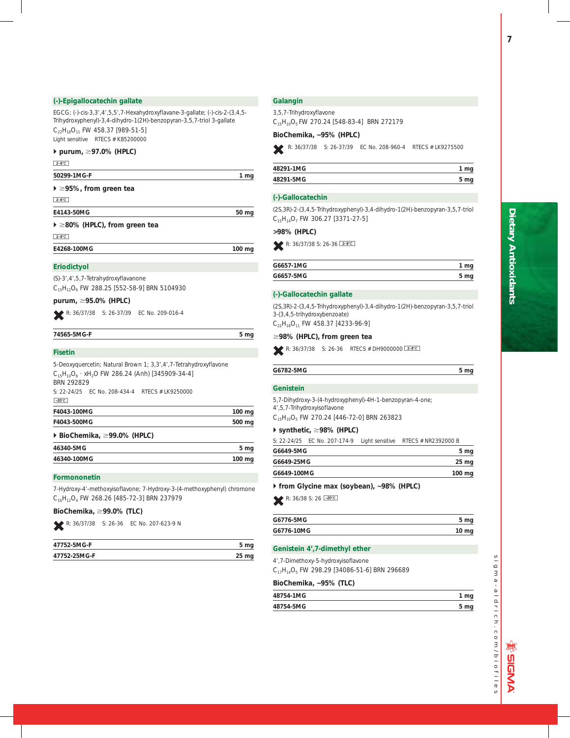## **(-)-Epigallocatechin gallate**

EGCG; (-)-*cis*-3,3',4',5,5',7-Hexahydroxyflavane-3-gallate; (-)-*cis*-2-(3,4,5- Trihydroxyphenyl)-3,4-dihydro-1(2H)-benzopyran-3,5,7-triol 3-gallate  $C_{22}H_{18}O_{11}$  FW 458.37 [989-51-5] Light sensitive RTECS # KB5200000

## - **purum,** ;**97.0% (HPLC)**

 $2-8$ °C

**50299-1MG-F 1 mg**

| $\blacktriangleright \geq 95\%$ , from green tea |  |  |  |
|--------------------------------------------------|--|--|--|
|--------------------------------------------------|--|--|--|

 $2-8$ °C

**E4143-50MG 50 mg**

## ▶ ≥80% (HPLC), from green tea

 $2-8$ °C

**E4268-100MG 100 mg**

## **Eriodictyol**

(S)-3',4',5,7-Tetrahydroxyflavanone C15H12O6 FW 288.25 [552-58-9] BRN 5104930

**purum,** ;**95.0% (HPLC)**

R: 36/37/38 S: 26-37/39 EC No. 209-016-4

## **74565-5MG-F 5 mg**

## **Fisetin**

| 5-Deoxyquercetin; Natural Brown 1; 3,3',4',7-Tetrahydroxyflavone<br>$C_{15}H_{10}O_6$ · xH <sub>2</sub> O FW 286.24 (Anh) [345909-34-4]<br><b>BRN 292829</b> |                 |  |                                                |  |
|--------------------------------------------------------------------------------------------------------------------------------------------------------------|-----------------|--|------------------------------------------------|--|
|                                                                                                                                                              |                 |  | S: 22-24/25 FC No. 208-434-4 RTECS # LK9250000 |  |
|                                                                                                                                                              |                 |  | $-20^{\circ}$ C                                |  |
| F4043-100MG                                                                                                                                                  | $100$ mg        |  |                                                |  |
| F4043-500MG                                                                                                                                                  |                 |  |                                                |  |
| $\triangleright$ BioChemika, $\geq$ 99.0% (HPLC)                                                                                                             |                 |  |                                                |  |
| 46340-5MG                                                                                                                                                    | 5 <sub>mg</sub> |  |                                                |  |
| 46340-100MG                                                                                                                                                  | 100 mg          |  |                                                |  |

**Formononetin**

7-Hydroxy-4'-methoxyisoflavone; 7-Hydroxy-3-(4-methoxyphenyl) chromone C16H12O4 FW 268.26 [485-72-3] BRN 237979

## **BioChemika,** ;**99.0% (TLC)**

R: 36/37/38 S: 26-36 EC No. 207-623-9 N

| 47752-5MG-F  |  |
|--------------|--|
| 47752-25MG-F |  |

## **Galangin**

3,5,7-Trihydroxyflavone

C15H10O5 FW 270.24 [548-83-4] BRN 272179

## **BioChemika, ~95% (HPLC)**

R: 36/37/38 S: 26-37/39 EC No. 208-960-4 RTECS # LK9275500

| 48291-1MG | mg   |
|-----------|------|
| 48291-5MG | 5 mg |
|           |      |

## **(-)-Gallocatechin**

(2S,3R)-2-(3,4,5-Trihydroxyphenyl)-3,4-dihydro-1(2H)-benzopyran-3,5,7-triol  $C_{15}H_{14}O_7$  FW 306.27 [3371-27-5]

## **>98% (HPLC)**

R: 36/37/38 S: 26-36 2-8°C

| G6657-1MG |  |
|-----------|--|
| G6657-5MG |  |

## **(-)-Gallocatechin gallate**

(2S,3R)-2-(3,4,5-Trihydroxyphenyl)-3,4-dihydro-1(2H)-benzopyran-3,5,7-triol 3-(3,4,5-trihydroxybenzoate)  $C_{22}H_{18}O_{11}$  FW 458.37 [4233-96-9]

## ;**98% (HPLC), from green tea**

R: 36/37/38 S: 26-36 RTECS # DH9000000 **E-8°C** 

| G6782-5MG |  |
|-----------|--|

## **Genistein**

5,7-Dihydroxy-3-(4-hydroxyphenyl)-4H-1-benzopyran-4-one; 4',5,7-Trihydroxyisoflavone

## C15H10O5 FW 270.24 [446-72-0] BRN 263823

**▶ synthetic, ≥98% (HPLC)** 

S: 22-24/25 EC No. 207-174-9 Light sensitive RTECS # NR2392000 B

| G6649-5MG   | 5 <sub>mg</sub>  |
|-------------|------------------|
| G6649-25MG  | $25 \, mg$       |
| G6649-100MG | $100 \text{ mg}$ |

- **from** *Glycine max* **(soybean), ~98% (HPLC)**

 $R: 36/38 S: 26 \frac{20°C}{5}$ 

| G6776-5MG  | 5 mg             |
|------------|------------------|
| G6776-10MG | $10 \mathrm{mg}$ |

**Genistein 4',7-dimethyl ether**

4',7-Dimethoxy-5-hydroxyisoflavone

 $C_{17}H_{14}O_5$  FW 298.29 [34086-51-6] BRN 296689

| BioChemika, ~95% (TLC) |
|------------------------|
|------------------------|

| 48754-1MG | ,    |
|-----------|------|
| 48754-5MG | ວ …ູ |

sigma-aldrich.com/biofiles i g m  $a - a$  | drich.com/biofiles

**SIGN** 

D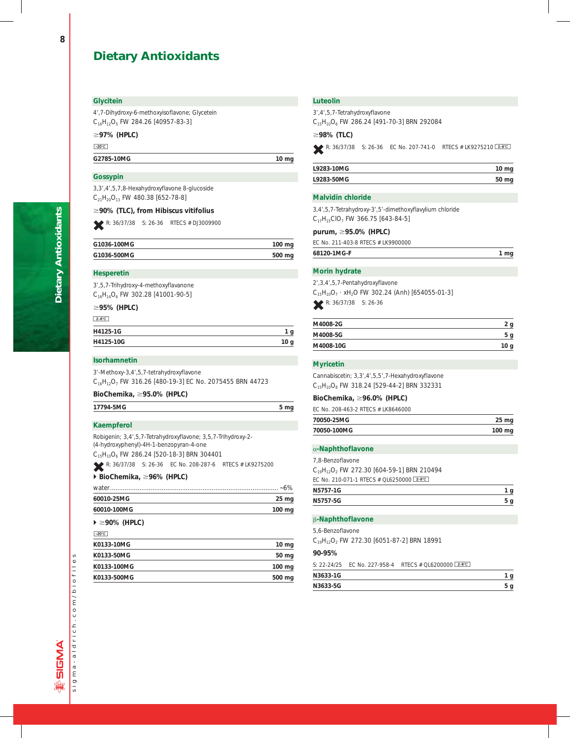## **Glycitein**

4',7-Dihydroxy-6-methoxyisoflavone; Glycetein C<sub>16</sub>H<sub>12</sub>O<sub>5</sub> FW 284.26 [40957-83-3]

;**97% (HPLC)**

 $-20^{\circ}$ C

## G2785-10MG 10 mg

## **Gossypin**

3,3',4',5,7,8-Hexahydroxyflavone 8-glucoside  $C_{21}H_{20}O_{13}$  FW 480.38 [652-78-8]

## ;**90% (TLC), from** *Hibiscus vitifolius*

R: 36/37/38 S: 26-36 RTECS # DJ3009900

| G1036-100MG | $100 \text{ mg}$ |
|-------------|------------------|
| G1036-500MG | 500 mg           |

## **Hesperetin**

| 3′,5,7-Trihydroxy-4-methoxyflavanone     |  |  |
|------------------------------------------|--|--|
| $C_{16}H_{14}O_6$ FW 302.28 [41001-90-5] |  |  |

## ;**95% (HPLC)**

| $2-8$ °C  |    |
|-----------|----|
| H4125-1G  |    |
| H4125-10G | 10 |

## **Isorhamnetin**

3'-Methoxy-3,4',5,7-tetrahydroxyflavone C<sub>16</sub>H<sub>12</sub>O<sub>7</sub> FW 316.26 [480-19-3] EC No. 2075455 BRN 44723

## **BioChemika,** ;**95.0% (HPLC)**

| 17794-5MG | 5 ma |
|-----------|------|
|-----------|------|

## **Kaempferol**

Robigenin; 3,4',5,7-Tetrahydroxyflavone; 3,5,7-Trihydroxy-2- (4-hydroxyphenyl)-4H-1-benzopyran-4-one  $C_{15}H_{10}O_6$  FW 286.24 [520-18-3] BRN 304401

R: 36/37/38 S: 26-36 EC No. 208-287-6 RTECS # LK9275200

## - **BioChemika,** ;**96% (HPLC)**

|                                        | -6%              |
|----------------------------------------|------------------|
| 60010-25MG                             | $25 \text{ mg}$  |
| 60010-100MG                            | $100 \text{ mg}$ |
| $\blacktriangleright \geq 90\%$ (HPLC) |                  |

#### $-20°C$

| K0133-10MG  | $10 \text{ mg}$  |
|-------------|------------------|
| K0133-50MG  | 50 mg            |
| K0133-100MG | $100 \text{ mg}$ |
| K0133-500MG | 500 mg           |
|             |                  |

## **Luteolin**

3',4',5,7-Tetrahydroxyflavone  $C_{15}H_{10}O_6$  FW 286.24 [491-70-3] BRN 292084

## ;**98% (TLC)**

R: 36/37/38 S: 26-36 EC No. 207-741-0 RTECS # LK9275210 [2-8°C]

| L9283-10MG | $10 \mathrm{mg}$ |
|------------|------------------|
| L9283-50MG | 50 mg            |

## **Malvidin chloride**

3,4',5,7-Tetrahydroxy-3',5'-dimethoxyflavylium chloride  $C_{17}H_{15}ClO_7$  FW 366.75 [643-84-5]

## **purum,** ;**95.0% (HPLC)**

EC No. 211-403-8 RTECS # LK9900000

|  |  | ma |
|--|--|----|

## **Morin hydrate**

2',3,4',5,7-Pentahydroxyflavone  $C_{15}H_{10}O_7$  · xH<sub>2</sub>O FW 302.24 (Anh) [654055-01-3] R: 36/37/38 S: 26-36

| M4008-2G  |      |
|-----------|------|
| M4008-5G  | ۲g   |
| M4008-10G | 10 g |

## **Myricetin**

Cannabiscetin; 3,3',4',5,5',7-Hexahydroxyflavone  $C_{15}H_{10}O_8$  FW 318.24 [529-44-2] BRN 332331

## **BioChemika,** ;**96.0% (HPLC)**

| FC No. 208-463-2 RTFCS # LK8646000 |        |
|------------------------------------|--------|
| 70050-25MG                         | 25 mg  |
| 70050-100MG                        | 100 mg |

## a**-Naphthoflavone**

7,8-Benzoflavone  $C_{19}H_{12}O_2$  FW 272.30 [604-59-1] BRN 210494 EC No. 210-071-1 RTECS # QL6250000 2-8°C

| N5757-1G |  |
|----------|--|
| N5757-5G |  |

## b**-Naphthoflavone**

5,6-Benzoflavone

C<sub>19</sub>H<sub>12</sub>O<sub>2</sub> FW 272.30 [6051-87-2] BRN 18991

## **90-95%**

S: 22-24/25 EC No. 227-958-4 RTECS # QL6200000 2-8°C

| N3633-1G |  |
|----------|--|
| N3633-5G |  |

**Dietary Antioxidants**

**Dietary Antioxidants**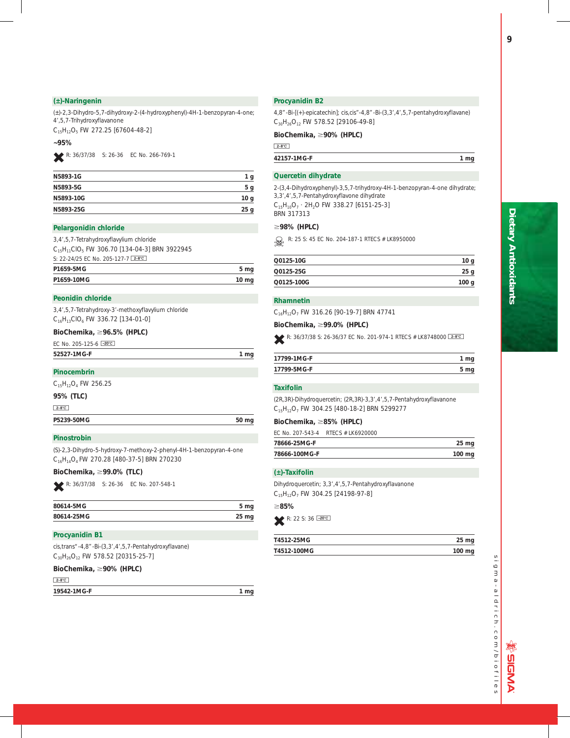## **(±)-Naringenin**

(±)-2,3-Dihydro-5,7-dihydroxy-2-(4-hydroxyphenyl)-4H-1-benzopyran-4-one; 4',5,7-Trihydroxyflavanone

C<sub>15</sub>H<sub>12</sub>O<sub>5</sub> FW 272.25 [67604-48-2]

## **~95%**

L R: 36/37/38 S: 26-36 EC No. 266-769-1

| N5893-1G  | 1 g             |
|-----------|-----------------|
| N5893-5G  | 5 <sub>g</sub>  |
| N5893-10G | 10 g            |
| N5893-25G | 25 <sub>g</sub> |
|           |                 |

#### **Pelargonidin chloride**

3,4',5,7-Tetrahydroxyflavylium chloride  $C_{15}H_{11}ClO_5$  FW 306.70 [134-04-3] BRN 3922945 S: 22-24/25 EC No. 205-127-7 2-8°C P1659-5MG 5 mg P1659-10MG 10 mg

## **Peonidin chloride**

3,4',5,7-Tetrahydroxy-3'-methoxyflavylium chloride C<sub>16</sub>H<sub>13</sub>ClO<sub>6</sub> FW 336.72 [134-01-0]

## **BioChemika,** ;**96.5% (HPLC)**

| EC No. 205-125-6 $-20^{\circ}$ C |  |
|----------------------------------|--|
| 52527-1MG-F                      |  |
|                                  |  |

## **Pinocembrin**

 $C_{15}H_{12}O_4$  FW 256.25

### **95% (TLC)**

 $2-8$ °C

P5239-50MG 50 mg

**Pinostrobin**

(S)-2,3-Dihydro-5-hydroxy-7-methoxy-2-phenyl-4H-1-benzopyran-4-one C16H14O4 FW 270.28 [480-37-5] BRN 270230

## **BioChemika,** ;**99.0% (TLC)**

L R: 36/37/38 S: 26-36 EC No. 207-548-1

| 80614-5MG  | 5 mg       |
|------------|------------|
| 80614-25MG | $25 \, mg$ |

## **Procyanidin B1**

*cis,trans*"-4,8"-Bi-(3,3',4',5,7-Pentahydroxyflavane)  $C_{30}H_{26}O_{12}$  FW 578.52 [20315-25-7]

## **BioChemika,** ;**90% (HPLC)**

 $2-8$ °C

**19542-1MG-F 1 mg**

## **Procyanidin B2**

4,8"-Bi-[(+)-epicatechin]; *cis,cis"*-4,8"-Bi-(3,3',4',5,7-pentahydroxyflavane)  $C_{30}H_{26}O_{12}$  FW 578.52 [29106-49-8]

## **BioChemika,** ;**90% (HPLC)**

 $2-8$ °C

**42157-1MG-F 1 mg**

## **Quercetin dihydrate**

2-(3,4-Dihydroxyphenyl)-3,5,7-trihydroxy-4H-1-benzopyran-4-one dihydrate; 3,3',4',5,7-Pentahydroxyflavone dihydrate  $C_{15}H_{10}O_7 \cdot 2H_2O$  FW 338.27 [6151-25-3] BRN 317313

### ;**98% (HPLC)**

R: 25 S: 45 EC No. 204-187-1 RTECS # LK8950000

| Q0125-10G  |      |
|------------|------|
| Q0125-25G  | 25   |
| Q0125-100G | 100q |

#### **Rhamnetin**

C<sub>16</sub>H<sub>12</sub>O<sub>7</sub> FW 316.26 [90-19-7] BRN 47741

## **BioChemika,** ;**99.0% (HPLC)**

R: 36/37/38 S: 26-36/37 EC No. 201-974-1 RTECS # LK8748000 2880

| 17799-1MG-F |  |
|-------------|--|
| 17799-5MG-F |  |

## **Taxifolin**

(2R,3R)-Dihydroquercetin; (2R,3R)-3,3',4',5,7-Pentahydroxyflavanone C<sub>15</sub>H<sub>12</sub>O<sub>7</sub> FW 304.25 [480-18-2] BRN 5299277

### **BioChemika,** ;**85% (HPLC)**

EC No. 207-543-4 RTECS # LK6920000

| 78666-25MG-F  | 25 <sub>mg</sub> |
|---------------|------------------|
| 78666-100MG-F | 100 mg           |

## **(±)-Taxifolin**

Dihydroquercetin; 3,3',4',5,7-Pentahydroxyflavanone  $C_{15}H_{12}O_7$  FW 304.25 [24198-97-8]

#### ;**85%**

 $R: 22 S: 36 \overline{-20^{\circ}C}$ 

| T4512-25MG  | 25 mg    |
|-------------|----------|
| T4512-100MG | $100$ mg |

sigma-aldrich.com/biofiles i g m  $a - a$  | drich.com/biofiles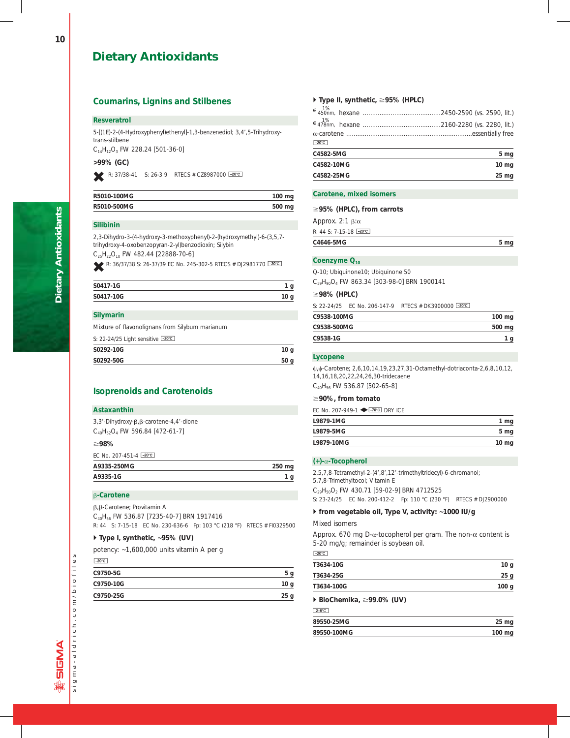## **Coumarins, Lignins and Stilbenes**

## **Resveratrol**

5-[(1E)-2-(4-Hydroxyphenyl)ethenyl]-1,3-benzenediol; 3,4',5-Trihydroxy*trans-*stilbene

 $C_{14}H_{12}O_3$  FW 228.24 [501-36-0]

## **>99% (GC)**

R: 37/38-41 S: 26-3 9 RTECS # CZ8987000  $\overline{20^{\circ}C}$ 

| R5010-100MG | $100 \text{ mg}$ |
|-------------|------------------|
| R5010-500MG | 500 mg           |

## **Silibinin**

2,3-Dihydro-3-(4-hydroxy-3-methoxyphenyl)-2-(hydroxymethyl)-6-(3,5,7 trihydroxy-4-oxobenzopyran-2-yl)benzodioxin; Silybin

 $C_{25}H_{22}O_{10}$  FW 482.44 [22888-70-6]

R: 36/37/38 S: 26-37/39 EC No. 245-302-5 RTECS # DJ2981770 -20°C

| S0417-1G  |  |
|-----------|--|
| S0417-10G |  |
|           |  |

#### **Silymarin**

Mixture of flavonolignans from *Silybum marianum*

| 10 <sub>g</sub> |
|-----------------|
| 50 <sub>q</sub> |
|                 |

## **Isoprenoids and Carotenoids**

#### **Astaxanthin**

| 3,3'-Dihydroxy-β,β-carotene-4,4'-dione |
|----------------------------------------|
| $C_{40}H_{52}O_4$ FW 596.84 [472-61-7] |

## ;**98%**

EC No. 207-451-4  $\sqrt{-20^\circ C}$ 

| A9335-250MG |  |
|-------------|--|
| A9335-1G    |  |
|             |  |

## b**-Carotene**

b,b-Carotene; Provitamin A

C40H56 FW 536.87 [7235-40-7] BRN 1917416

R: 44 S: 7-15-18 EC No. 230-636-6 Fp: 103 °C (218 °F) RTECS # FI0329500

## - **Type I, synthetic, ~95% (UV)**

potency: ~1,600,000 units vitamin A per g

## $-20^{\circ}$ C

| C9750-5G  |                 |
|-----------|-----------------|
| C9750-10G | 10 <sub>q</sub> |
| C9750-25G | 25 <sub>g</sub> |

## - **Type II, synthetic,** ;**95% (HPLC)**

| C4582-25MG      | 25 <sub>mg</sub> |
|-----------------|------------------|
| C4582-10MG      | 10 <sub>mg</sub> |
| C4582-5MG       | 5 mg             |
| $-20^{\circ}$ C |                  |
|                 |                  |
|                 |                  |
|                 |                  |

## **Carotene, mixed isomers**

## ;**95% (HPLC), from carrots**

| C4646-5MG                  | 5 <sub>mg</sub> |
|----------------------------|-----------------|
| $R: 44 S: 7-15-18$ $-20°C$ |                 |
| Approx. $2:1 \beta:\alpha$ |                 |

## Coenzyme Q<sub>10</sub>

Q-10; Ubiquinone10; Ubiquinone 50 C<sub>59</sub>H<sub>90</sub>O<sub>4</sub> FW 863.34 [303-98-0] BRN 1900141

## ;**98% (HPLC)**

S: 22-24/25 EC No. 206-147-9 RTECS # DK3900000 -20°C

| 500 mg |
|--------|
|        |
|        |

## **Lycopene**

 $\psi$ , $\psi$ -Carotene; 2,6,10,14,19,23,27,31-Octamethyl-dotriaconta-2,6,8,10,12, 14,16,18,20,22,24,26,30-tridecaene C<sub>40</sub>H<sub>56</sub> FW 536.87 [502-65-8]

## ;**90%, from tomato**

EC No. 207-949-1  $\blacklozenge$  -70°C DRY ICE

| L9879-1MG  | 1 mg            |
|------------|-----------------|
| L9879-5MG  | 5 <sub>mg</sub> |
| L9879-10MG | 10 mg           |

## **(+)-**a**-Tocopherol**

2,5,7,8-Tetramethyl-2-(4',8',12'-trimethyltridecyl)-6-chromanol; 5,7,8-Trimethyltocol; Vitamin E C<sub>29</sub>H<sub>50</sub>O<sub>2</sub> FW 430.71 [59-02-9] BRN 4712525 S: 23-24/25 EC No. 200-412-2 Fp: 110 °C (230 °F) RTECS # DJ2900000

## - **from vegetable oil, Type V, activity: ~1000 IU/g**

Mixed isomers

Approx. 670 mg D- $\alpha$ -tocopherol per gram. The non- $\alpha$  content is 5-20 mg/g; remainder is soybean oil.

 $-20^{\circ}$ C

| T3634-10G  |                  |
|------------|------------------|
| T3634-25G  | 25 g             |
| T3634-100G | 100 <sub>g</sub> |

## - *BioChemika***,** ;**99.0% (UV)**

| $2-8$ °C    |                  |
|-------------|------------------|
| 89550-25MG  | $25 \mathrm{mg}$ |
| 89550-100MG | 100 mg           |

sigma-aldrich.com/biofiles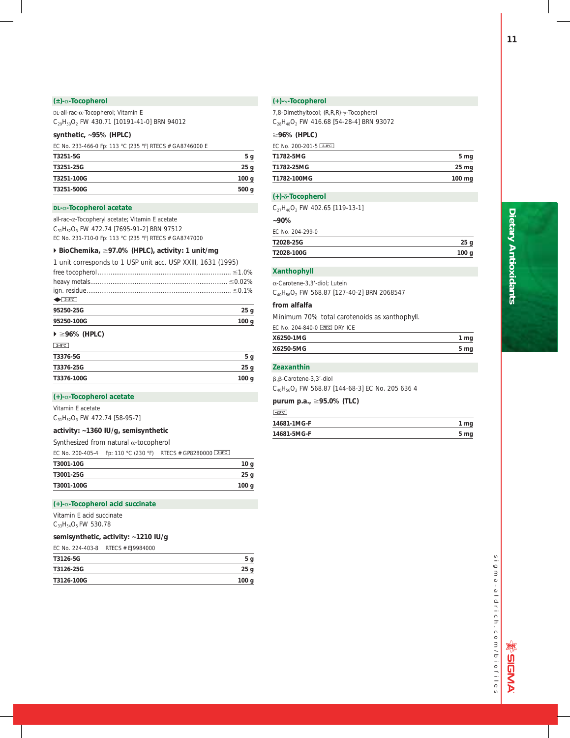## **(±)-**a**-Tocopherol**

DL-all-*rac*-a-Tocopherol; Vitamin E

C29H50O2 FW 430.71 [10191-41-0] BRN 94012

## **synthetic, ~95% (HPLC)**

EC No. 233-466-0 Fp: 113 °C (235 °F) RTECS # GA8746000 E

| T3251-5G   | 5 <sub>g</sub>  |
|------------|-----------------|
| T3251-25G  | 25 <sub>g</sub> |
| T3251-100G | 100 g           |
| T3251-500G | 500 g           |

## **DL-**a**-Tocopherol acetate**

all-rac-a-Tocopheryl acetate; Vitamin E acetate C<sub>31</sub>H<sub>52</sub>O<sub>3</sub> FW 472.74 [7695-91-2] BRN 97512 EC No. 231-710-0 Fp: 113 °C (235 °F) RTECS # GA8747000

## - **BioChemika,** ;**97.0% (HPLC), activity: 1 unit/mg**

1 unit corresponds to 1 USP unit acc. USP XXIII, 1631 (1995)

| $2-8^{\circ}C$                         |                  |
|----------------------------------------|------------------|
| 95250-25G                              | 25 <sub>g</sub>  |
| 95250-100G                             | 100 <sub>g</sub> |
| $\blacktriangleright \geq 96\%$ (HPLC) |                  |

| $2-8$ °C   |                |
|------------|----------------|
| T3376-5G   | 5 <sub>g</sub> |
| T3376-25G  | 25g            |
| T3376-100G | 100 g          |
|            |                |

## **(+)-**a**-Tocopherol acetate**

Vitamin E acetate

 $C_{31}H_{52}O_3$  FW 472.74 [58-95-7]

## **activity: ~1360 IU/g, semisynthetic**

Synthesized from natural  $\alpha$ -tocopherol

|            | EC No. 200-405-4 Fp: 110 °C (230 °F) RTECS # GP8280000 2-8°C |                  |
|------------|--------------------------------------------------------------|------------------|
| T3001-10G  |                                                              | 10 g             |
| T3001-25G  |                                                              | 25 g             |
| T3001-100G |                                                              | 100 <sub>g</sub> |

## **(+)-**a**-Tocopherol acid succinate**

Vitamin E acid succinate  $C_{33}H_{54}O_5$  FW 530.78

## **semisynthetic, activity: ~1210 IU/g**

EC No. 224-403-8 RTECS # EJ9984000

| T3126-5G   | i g              |
|------------|------------------|
| T3126-25G  | 25 <sub>g</sub>  |
| T3126-100G | 100 <sub>g</sub> |

## **(+)-**g**-Tocopherol**

7,8-Dimethyltocol; (R,R,R)-g-Tocopherol  $C_{28}H_{48}O_2$  FW 416.68 [54-28-4] BRN 93072

## ;**96% (HPLC)**

| FC No. 200-201-5 $2-8$ °C |                  |
|---------------------------|------------------|
| T1782-5MG                 | 5 <sub>mg</sub>  |
| T1782-25MG                | $25 \mathrm{mg}$ |
| T1782-100MG               | $100 \text{ mg}$ |

## **(+)-**d**-Tocopherol**

|  | $C_{27}H_{46}O_2$ FW 402.65 [119-13-1] |  |
|--|----------------------------------------|--|
|  |                                        |  |

| $-90\%$ |                  |  |
|---------|------------------|--|
|         | FC No. 204-299-0 |  |

| EC No. 204-299-0 |      |
|------------------|------|
| T2028-25G        | 25 g |
| T2028-100G       | 100q |

## **Xanthophyll**

| $\alpha$ -Carotene-3.3'-diol: Lutein               |  |  |
|----------------------------------------------------|--|--|
| $C_{40}H_{56}O_2$ FW 568.87 [127-40-2] BRN 2068547 |  |  |

## **from alfalfa**

Minimum 70% total carotenoids as xanthophyll.

EC No. 204-840-0  $\sqrt{20^\circ}$  DRY ICE

| X6250-1MG | 1 mg |  |
|-----------|------|--|
| X6250-5MG | 5 mg |  |

## **Zeaxanthin**

b,b-Carotene-3,3'-diol

C40H56O2 FW 568.87 [144-68-3] EC No. 205 636 4

## **purum p.a.,** ;**95.0% (TLC)**

| $-20^{\circ}$ C |      |
|-----------------|------|
| 14681-1MG-F     | 1 mg |
| 14681-5MG-F     | 5 mg |

sigma-aldrich.com/biofiles sigma-aldrich.com/biofiles

**燃のNPIDINA**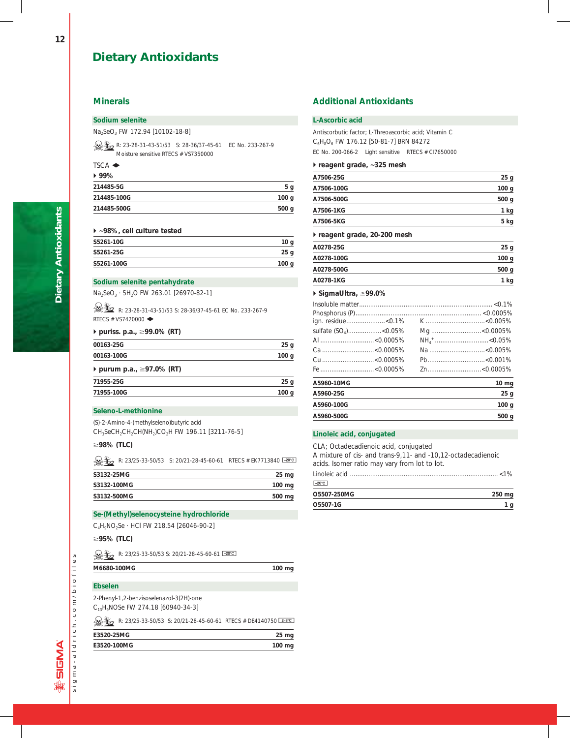## **Minerals**

## **Sodium selenite**

Na<sub>2</sub>SeO<sub>3</sub> FW 172.94 [10102-18-8]

R: 23-28-31-43-51/53 S: 28-36/37-45-61 EC No. 233-267-9 Moisture sensitive RTECS # VS7350000

## TSCA  $\triangle$

| $*99%$      |                  |
|-------------|------------------|
| 214485-5G   | 5 g              |
| 214485-100G | 100 <sub>g</sub> |
| 214485-500G | 500 g            |
|             |                  |

## - **~98%, cell culture tested**

| S5261-10G  | 10 <sub>g</sub> |
|------------|-----------------|
| S5261-25G  | 25 <sub>g</sub> |
| S5261-100G | 100 g           |

## **Sodium selenite pentahydrate**

Na<sub>2</sub>SeO<sub>3</sub> · 5H<sub>2</sub>O FW 263.01 [26970-82-1]

**K**<sub>2</sub> R: 23-28-31-43-51/53 S: 28-36/37-45-61 EC No. 233-267-9 RTECS # VS7420000 $\blacklozenge$ 

## **▶ puriss. p.a., ≥99.0% (RT)**

| 00163-25G                 | 25 <sub>g</sub>  |
|---------------------------|------------------|
| 00163-100G                | 100 <sub>g</sub> |
| ▶ purum p.a., ≥97.0% (RT) |                  |

| 71955-25G  | 25 <sub>q</sub> |
|------------|-----------------|
| 71955-100G | 100q            |

## **Seleno-L-methionine**

(S)-2-Amino-4-(methylseleno)butyric acid CH<sub>3</sub>SeCH<sub>2</sub>CH<sub>2</sub>CH(NH<sub>2</sub>)CO<sub>2</sub>H FW 196.11 [3211-76-5]

## ;**98% (TLC)**

R: 23/25-33-50/53 S: 20/21-28-45-60-61 RTECS # EK7713840  $\frac{20^{\circ}C}{20^{\circ}C}$ 

| S3132-25MG  | 25 mg  |
|-------------|--------|
| S3132-100MG | 100 mg |
| S3132-500MG | 500 mg |

## **Se-(Methyl)selenocysteine hydrochloride**

C4H9NO2Se · HCl FW 218.54 [26046-90-2]

## ;**95% (TLC)**

 $\frac{1}{20}$  R: 23/25-33-50/53 S: 20/21-28-45-60-61  $\frac{20}{3}$ 

| M6680-100MG | 100 ma |
|-------------|--------|
|             |        |

## **Ebselen**

2-Phenyl-1,2-benzisoselenazol-3(2H)-one C13H9NOSe FW 274.18 [60940-34-3]

R: 23/25-33-50/53 S: 20/21-28-45-60-61 RTECS # DE4140750  $\boxed{2-8^{\circ}C}$ 

| E3520-25MG  | 25 <sub>mg</sub> |
|-------------|------------------|
| E3520-100MG | 100 mg           |

## **Additional Antioxidants**

## **L-Ascorbic acid**

Antiscorbutic factor; L-Threoascorbic acid; Vitamin C C<sub>6</sub>H<sub>8</sub>O<sub>6</sub> FW 176.12 [50-81-7] BRN 84272 EC No. 200-066-2 Light sensitive RTECS # CI7650000

## - **reagent grade, ~325 mesh**

| 25g              |
|------------------|
| 100 <sub>g</sub> |
| 500 <sub>q</sub> |
| 1 kg             |
| 5 kg             |
|                  |

## - **reagent grade, 20-200 mesh**

| A0278-25G  | 25 <sub>g</sub>  |
|------------|------------------|
| A0278-100G | 100 <sub>g</sub> |
| A0278-500G | 500 <sub>g</sub> |
| A0278-1KG  | 1 kg             |

## - **SigmaUltra,** ;**99.0%**

| ign. residue<0.1%                |  |                  |
|----------------------------------|--|------------------|
| sulfate (SO <sub>4</sub> )<0.05% |  |                  |
|                                  |  |                  |
|                                  |  | Na <0.005%       |
|                                  |  |                  |
|                                  |  |                  |
| A5960-10MG                       |  | $10 \, mg$       |
| A5960-25G                        |  | 25 <sub>q</sub>  |
| A5960-100G                       |  | 100 <sub>g</sub> |
| A5960-500G                       |  | 500 g            |

## **Linoleic acid, conjugated**

| O5507-1G                                                     | 1 q    |
|--------------------------------------------------------------|--------|
| O5507-250MG                                                  | 250 mg |
| $-20^{\circ}$ C                                              |        |
|                                                              |        |
| acids. Isomer ratio may vary from lot to lot.                |        |
| A mixture of cis- and trans-9,11- and -10,12-octadecadienoic |        |
| CLA: Octadecadienoic acid, conjugated                        |        |

sigma-aldrich.com/biofiles

sigma-aldrich.com/biofiles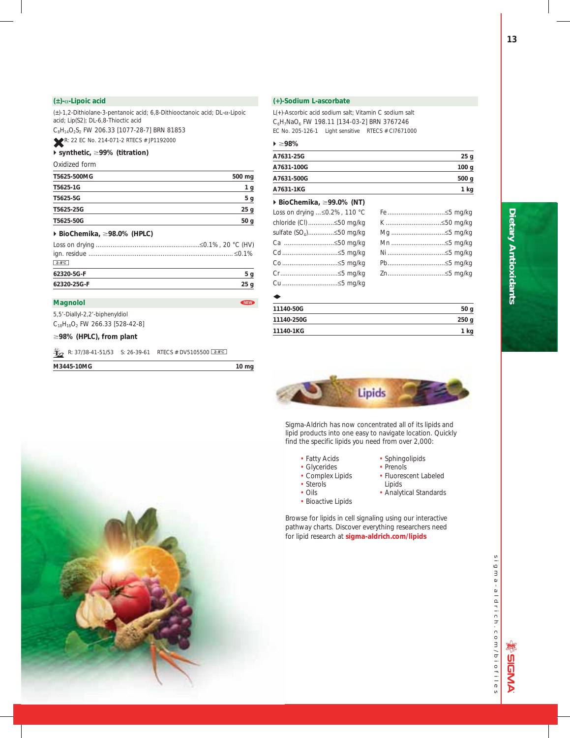## **(±)-**a**-Lipoic acid**

(±)-1,2-Dithiolane-3-pentanoic acid; 6,8-Dithiooctanoic acid; DL-a-Lipoic acid; Lip(S2); DL-6,8-Thioctic acid

 $C_8H_{14}O_2S_2$  FW 206.33 [1077-28-7] BRN 81853

**R: 22 EC No. 214-071-2 RTECS # JP1192000** 

## ▶ synthetic, ≥99% (titration)

## Oxidized form

| 62320-5G-F                                       | 5 g             |
|--------------------------------------------------|-----------------|
| $2-8$ °C                                         |                 |
|                                                  |                 |
|                                                  |                 |
| $\triangleright$ BioChemika, $\geq$ 98.0% (HPLC) |                 |
| T5625-50G                                        | 50 <sub>q</sub> |
| T5625-25G                                        | 25 <sub>g</sub> |
| T5625-5G                                         | 5 <sub>g</sub>  |
| T5625-1G                                         | 1 <sub>g</sub>  |
| T5625-500MG                                      | 500 mg          |
|                                                  |                 |

**62320-25G-F 25 g**

## **Magnolol Magnolol**

5,5'-Diallyl-2,2'-biphenyldiol  $C_{18}H_{18}O_2$  FW 266.33 [528-42-8]

## ;**98% (HPLC), from plant**

|  |  |  | R: 37/38-41-51/53 S: 26-39-61 RTECS # DV5105500 $2-8^{\circ}$ |
|--|--|--|---------------------------------------------------------------|
|--|--|--|---------------------------------------------------------------|

| M3445-10MG | 10 <sub>ma</sub> |  |
|------------|------------------|--|
|            |                  |  |

## **(+)-Sodium L-ascorbate**

L(+)-Ascorbic acid sodium salt; Vitamin C sodium salt C6H7NaO6 FW 198.11 [134-03-2] BRN 3767246 EC No. 205-126-1 Light sensitive RTECS # CI7671000

## - ;**98%**

| A7631-25G  | 25g              |
|------------|------------------|
| A7631-100G | 100 <sub>g</sub> |
| A7631-500G | 500 <sub>g</sub> |
| A7631-1KG  | 1 kg             |
|            |                  |

## - **BioChemika,** ;**99.0% (NT)**

| Loss on drying  ≤0.2%, 110 °C |             |
|-------------------------------|-------------|
| chloride (CI)≤50 mg/kg        | K ≤50 mg/kg |
|                               | Mg ≤5 mg/kg |
| Ca ≤50 mg/kg                  | Mn ≤5 mg/kg |
|                               |             |
| Co ≤5 mg/kg                   |             |
|                               |             |
| Cu ≤5 mg/kg                   |             |

## $\bullet$

| 11140-50G  | 50 <sub>g</sub>  |
|------------|------------------|
| 11140-250G | 250 <sub>g</sub> |
| 11140-1KG  | kg               |



Sigma-Aldrich has now concentrated all of its lipids and lipid products into one easy to navigate location. Quickly find the specific lipids you need from over 2,000:

- 
- Glycerides<br>• Complex Lipids
- 
- 
- Bioactive Lipids
- Fatty Acids Sphingolipids<br>• Glycerides Prenols
- Fluorescent Labeled • Sterols **Lipids**
- Oils Analytical Standards

Browse for lipids in cell signaling using our interactive pathway charts. Discover everything researchers need for lipid research at **sigma-aldrich.com/lipids**

sigma-aldrich.com/biofiles sigma-aldrich.com/biofiles

WOIDNA

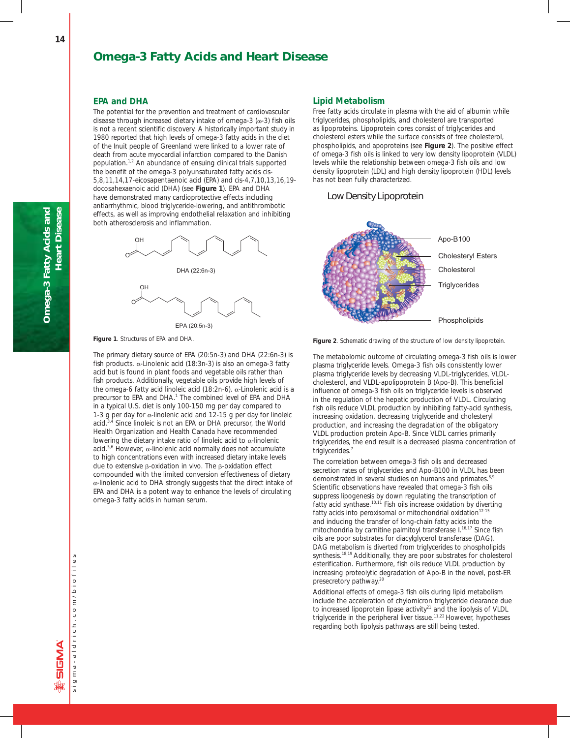## **Omega-3 Fatty Acids and Heart Disease**

## **EPA and DHA**

The potential for the prevention and treatment of cardiovascular disease through increased dietary intake of omega-3 (ω-3) fish oils is not a recent scientific discovery. A historically important study in 1980 reported that high levels of omega-3 fatty acids in the diet of the Inuit people of Greenland were linked to a lower rate of death from acute myocardial infarction compared to the Danish population.<sup>1,2</sup> An abundance of ensuing clinical trials supported the benefit of the omega-3 polyunsaturated fatty acids *cis*-5,8,11,14,17-eicosapentaenoic acid (EPA) and *cis*-4,7,10,13,16,19 docosahexaenoic acid (DHA) (see **Figure 1**). EPA and DHA have demonstrated many cardioprotective effects including antiarrhythmic, blood triglyceride-lowering, and antithrombotic effects, as well as improving endothelial relaxation and inhibiting both atherosclerosis and inflammation.



EPA (20:5n-3)

**Figure 1**. Structures of EPA and DHA.

The primary dietary source of EPA (20:5n-3) and DHA (22:6n-3) is fish products.  $\alpha$ -Linolenic acid (18:3n-3) is also an omega-3 fatty acid but is found in plant foods and vegetable oils rather than fish products. Additionally, vegetable oils provide high levels of the omega-6 fatty acid linoleic acid (18:2n-6).  $\alpha$ -Linolenic acid is a precursor to EPA and DHA.<sup>1</sup> The combined level of EPA and DHA in a typical U.S. diet is only 100-150 mg per day compared to 1-3 g per day for  $\alpha$ -linolenic acid and 12-15 g per day for linoleic acid.<sup>3,4</sup> Since linoleic is not an EPA or DHA precursor, the World Health Organization and Health Canada have recommended lowering the dietary intake ratio of linoleic acid to  $\alpha$ -linolenic acid.<sup>5,6</sup> However,  $\alpha$ -linolenic acid normally does not accumulate to high concentrations even with increased dietary intake levels due to extensive  $\beta$ -oxidation *in vivo*. The  $\beta$ -oxidation effect compounded with the limited conversion effectiveness of dietary  $\alpha$ -linolenic acid to DHA strongly suggests that the direct intake of EPA and DHA is a potent way to enhance the levels of circulating omega-3 fatty acids in human serum.

## **Lipid Metabolism**

Free fatty acids circulate in plasma with the aid of albumin while triglycerides, phospholipids, and cholesterol are transported as lipoproteins. Lipoprotein cores consist of triglycerides and cholesterol esters while the surface consists of free cholesterol, phospholipids, and apoproteins (see **Figure 2**). The positive effect of omega-3 fish oils is linked to very low density lipoprotein (VLDL) levels while the relationship between omega-3 fish oils and low density lipoprotein (LDL) and high density lipoprotein (HDL) levels has not been fully characterized.

## Low Density Lipoprotein





The metabolomic outcome of circulating omega-3 fish oils is lower plasma triglyceride levels. Omega-3 fish oils consistently lower plasma triglyceride levels by decreasing VLDL-triglycerides, VLDLcholesterol, and VLDL-apolipoprotein B (Apo-B). This beneficial influence of omega-3 fish oils on triglyceride levels is observed in the regulation of the hepatic production of VLDL. Circulating fish oils reduce VLDL production by inhibiting fatty-acid synthesis, increasing oxidation, decreasing triglyceride and cholesteryl production, and increasing the degradation of the obligatory VLDL production protein Apo-B. Since VLDL carries primarily triglycerides, the end result is a decreased plasma concentration of triglycerides.<sup>7</sup>

The correlation between omega-3 fish oils and decreased secretion rates of triglycerides and Apo-B100 in VLDL has been demonstrated in several studies on humans and primates.<sup>8,9</sup> Scientific observations have revealed that omega-3 fish oils suppress lipogenesis by down regulating the transcription of fatty acid synthase.10,11 Fish oils increase oxidation by diverting fatty acids into peroxisomal or mitochondrial oxidation $12-15$ and inducing the transfer of long-chain fatty acids into the mitochondria by carnitine palmitoyl transferase I.<sup>16,17</sup> Since fish oils are poor substrates for diacylglycerol transferase (DAG), DAG metabolism is diverted from triglycerides to phospholipids synthesis.<sup>18,19</sup> Additionally, they are poor substrates for cholesterol esterification. Furthermore, fish oils reduce VLDL production by increasing proteolytic degradation of Apo-B in the novel, post-ER presecretory pathway.<sup>20</sup>

Additional effects of omega-3 fish oils during lipid metabolism include the acceleration of chylomicron triglyceride clearance due to increased lipoprotein lipase activity<sup>21</sup> and the lipolysis of VLDL triglyceride in the peripheral liver tissue.<sup>11,22</sup> However, hypotheses regarding both lipolysis pathways are still being tested.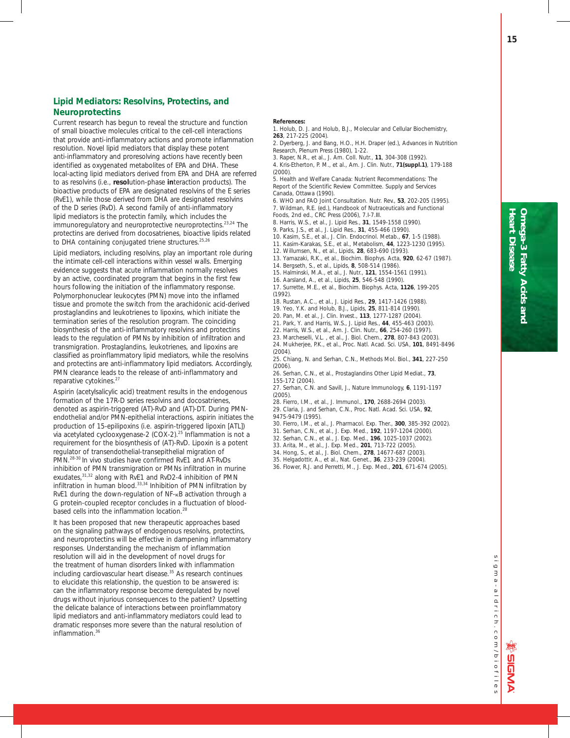## **Lipid Mediators: Resolvins, Protectins, and Neuroprotectins**

Current research has begun to reveal the structure and function of small bioactive molecules critical to the cell-cell interactions that provide anti-inflammatory actions and promote inflammation resolution. Novel lipid mediators that display these potent anti-inflammatory and proresolving actions have recently been identified as oxygenated metabolites of EPA and DHA. These local-acting lipid mediators derived from EPA and DHA are referred to as resolvins (i.e., **resol**ution-phase **in**teraction products). The bioactive products of EPA are designated resolvins of the E series (RvE1), while those derived from DHA are designated resolvins of the D series (RvD). A second family of anti-inflammatory lipid mediators is the protectin family, which includes the immunoregulatory and neuroprotective neuroprotectins.23,24 The protectins are derived from docosatrienes, bioactive lipids related to DHA containing conjugated triene structures.<sup>25,26</sup>

Lipid mediators, including resolvins, play an important role during the intimate cell-cell interactions within vessel walls. Emerging evidence suggests that acute inflammation normally resolves by an active, coordinated program that begins in the first few hours following the initiation of the inflammatory response. Polymorphonuclear leukocytes (PMN) move into the inflamed tissue and promote the switch from the arachidonic acid-derived prostaglandins and leukotrienes to lipoxins, which initiate the termination series of the resolution program. The coinciding biosynthesis of the anti-inflammatory resolvins and protectins leads to the regulation of PMNs by inhibition of infiltration and transmigration. Prostaglandins, leukotrienes, and lipoxins are classified as proinflammatory lipid mediators, while the resolvins and protectins are anti-inflammatory lipid mediators. Accordingly, PMN clearance leads to the release of anti-inflammatory and reparative cytokines.<sup>27</sup>

Aspirin (acetylsalicylic acid) treatment results in the endogenous formation of the 17R-D series resolvins and docosatrienes, denoted as aspirin-triggered (AT)-RvD and (AT)-DT. During PMNendothelial and/or PMN-epithelial interactions, aspirin initiates the production of 15-epilipoxins (i.e. aspirin-triggered lipoxin [ATL]) via acetylated cyclooxygenase-2 (COX-2).25 Inflammation is not a requirement for the biosynthesis of (AT)-RvD. Lipoxin is a potent regulator of transendothelial-transepithelial migration of PMN.28-30 *In vivo* studies have confirmed RvE1 and AT-RvDs inhibition of PMN transmigration or PMNs infiltration in murine exudates.<sup>31,32</sup> along with RvE1 and RvD2-4 inhibition of PMN infiltration in human blood.33,34 Inhibition of PMN infiltration by RvE1 during the down-regulation of NF-KB activation through a G protein-coupled receptor concludes in a fluctuation of bloodbased cells into the inflammation location.<sup>28</sup>

It has been proposed that new therapeutic approaches based on the signaling pathways of endogenous resolvins, protectins, and neuroprotectins will be effective in dampening inflammatory responses. Understanding the mechanism of inflammation resolution will aid in the development of novel drugs for the treatment of human disorders linked with inflammation including cardiovascular heart disease.<sup>35</sup> As research continues to elucidate this relationship, the question to be answered is: can the inflammatory response become deregulated by novel drugs without injurious consequences to the patient? Upsetting the delicate balance of interactions between proinflammatory lipid mediators and anti-inflammatory mediators could lead to dramatic responses more severe than the natural resolution of inflammation. $3$ 

#### **References:**

- 1. Holub, D. J. and Holub, B.J., *Molecular and Cellular Biochemistry*, **263**, 217-225 (2004).
- 2. Dyerberg, J. and Bang, H.O., H.H. Draper (ed.), *Advances in Nutrition Research*, Plenum Press (1980), 1-22.
- 3. Raper, N.R., et al., *J. Am. Coll. Nutr.,* **11**, 304-308 (1992).
- 4. Kris-Etherton, P. M., et al., *Am*. *J. Clin. Nutr.*, **71(suppl.1)**, 179-188 (2000).
- 5. Health and Welfare Canada: Nutrient Recommendations: The Report of the Scientific Review Committee. *Supply and Services Canada*, Ottawa (1990).
- 6. WHO and FAO Joint Consultation. *Nutr. Rev.*, **53**, 202-205 (1995). 7. Wildman, R.E. (ed.), *Handbook of Nutraceuticals and Functional Foods,* 2nd ed., CRC Press (2006), 7.I-7.III.
- 8. Harris, W.S., et al., *J. Lipid Res*., **31**, 1549-1558 (1990).
- 9. Parks, J.S., et al., *J. Lipid Res*., **31**, 455-466 (1990).
- 10. Kasim, S.E., et al., *J. Clin. Endocrinol. Metab*., **67**, 1-5 (1988).
- 11. Kasim-Karakas, S.E., et al., *Metabolism*, **44**, 1223-1230 (1995).
- 12. Willumsen, N., et al., *Lipids*, **28**, 683-690 (1993).
- 13. Yamazaki, R.K., et al., *Biochim. Biophys. Acta*, **920**, 62-67 (1987).
- 14. Bergseth, S., et al., *Lipids*, **8**, 508-514 (1986).
- 15. Halminski, M.A., et al., *J. Nutr.*, **121**, 1554-1561 (1991).
- 16. Aarsland, A., et al., *Lipids*, **25**, 546-548 (1990).
- 17. Surrette, M.E., et al., *Biochim. Biophys. Acta*, **1126**, 199-205 (1992).
- 18. Rustan, A.C., et al., *J. Lipid Res*., **29**, 1417-1426 (1988).
- 19. Yeo, Y.K. and Holub, B.J., *Lipids*, **25**, 811-814 (1990).
- 20. Pan, M. et al., *J. Clin. Invest.*, **113**, 1277-1287 (2004).
- 21. Park, Y. and Harris, W.S., *J. Lipid Res*., **44**, 455-463 (2003).
- 22. Harris, W.S., et al., *Am. J. Clin. Nutr.*, **66**, 254-260 (1997).
- 23. Marcheselli, V.L. , et al., *J. Biol. Chem.*, **278**, 807-843 (2003).
- 24. Mukherjee, P.K., et al., *Proc. Natl. Acad. Sci. USA,* **101**, 8491-8496 (2004).
- 25. Chiang, N. and Serhan, C.N., *Methods Mol. Biol*., **341**, 227-250 (2006).
- 26. Serhan, C.N., et al., *Prostaglandins Other Lipid Mediat.*, **73**, 155-172 (2004).
- 27. Serhan, C.N. and Savill, J., *Nature Immunology,* **6**, 1191-1197  $(2005)$
- 28. Fierro, I.M., et al., *J. Immunol*., **170**, 2688-2694 (2003).
- 29. Claria, J. and Serhan, C.N., *Proc. Natl. Acad. Sci. USA,* **92**,
- 9475-9479 (1995).
- 30. Fierro, I.M., et al., *J. Pharmacol. Exp. Ther.*, **300**, 385-392 (2002).
- 31. Serhan, C.N., et al., *J. Exp. Med.*, **192**, 1197-1204 (2000).
- 32. Serhan, C.N., et al., *J. Exp. Med*., **196**, 1025-1037 (2002).
- 33. Arita, M., et al., *J. Exp. Med.*, **201**, 713-722 (2005).
- 34. Hong, S., et al., *J. Biol. Chem*., **278**, 14677-687 (2003).
- 35. Helgadottir, A., et al., *Nat. Genet.*, **36**, 233-239 (2004).
- 36. Flower, R.J. and Perretti, M., *J. Exp. Med*., **201**, 671-674 (2005).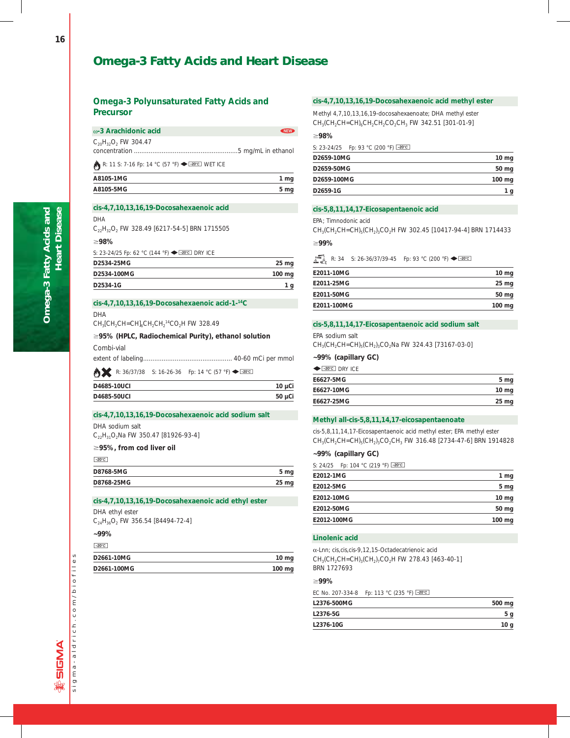## **Omega-3 Fatty Acids and Heart Disease**

## **Omega-3 Polyunsaturated Fatty Acids and Precursor**

| ⊚-3 Arachidonic acid        | NEW > |
|-----------------------------|-------|
| $C_{20}H_{32}O_2$ FW 304.47 |       |
|                             |       |

## R: 11 S: 7-16 Fp: 14 °C (57 °F)  $\blacklozenge$  I-20°C WET ICE

| A8105-1MG | 1 mg |
|-----------|------|
| A8105-5MG | 5 mg |
|           |      |

## *cis***-4,7,10,13,16,19-Docosahexaenoic acid**

#### DHA

C<sub>22</sub>H<sub>32</sub>O<sub>2</sub> FW 328.49 [6217-54-5] BRN 1715505

#### ;**98%**

S: 23-24/25 Fp: 62 °C (144 °F) ← 20°C DRY ICE

| D2534-25MG  | 25 mg  |
|-------------|--------|
| D2534-100MG | 100 mg |
| D2534-1G    | g      |

## *cis***-4,7,10,13,16,19-Docosahexaenoic acid-1-14C**

DHA

 $CH_3[CH_2CH=CH]_6CH_2CH_2^{14}CO_2H$  FW 328.49

## ;**95% (HPLC, Radiochemical Purity), ethanol solution**

Combi-vial

**AL** R: 36/37/38 S: 16-26-36 Fp: 14 °C (57 °F)  $\blacklozenge$   $\boxed{\text{--20°C}}$ 

| D4685-10UCI | $10 \mu C$ |
|-------------|------------|
| D4685-50UCI | $50 \mu C$ |

## *cis***-4,7,10,13,16,19-Docosahexaenoic acid sodium salt**

DHA sodium salt C<sub>22</sub>H<sub>31</sub>O<sub>2</sub>Na FW 350.47 [81926-93-4]

## ≥95%, from cod liver oil

 $-20^{\circ}$ C

| 5 mg       |
|------------|
| $25 \, mg$ |
|            |

## *cis***-4,7,10,13,16,19-Docosahexaenoic acid ethyl ester**

DHA ethyl ester

 $C_{24}H_{36}O_2$  FW 356.54 [84494-72-4]

**~99%**  $-20^{\circ}$ C

| D2661-10MG  | $10 \text{ mg}$  |
|-------------|------------------|
| D2661-100MG | $100 \text{ mg}$ |

## *cis***-4,7,10,13,16,19-Docosahexaenoic acid methyl ester**

Methyl 4,7,10,13,16,19-docosahexaenoate; DHA methyl ester  $CH<sub>3</sub>(CH<sub>2</sub>CH=CH)<sub>6</sub>CH<sub>2</sub>CH<sub>2</sub>CO<sub>2</sub>CH<sub>3</sub>$  FW 342.51 [301-01-9]

#### ;**98%**

S: 23-24/25 Fp: 93 °C (200 °F) -20°C

| D2659-10MG  | $10 \mathrm{mg}$ |
|-------------|------------------|
| D2659-50MG  | 50 mg            |
| D2659-100MG | $100 \text{ mg}$ |
| D2659-1G    | 1 g              |

## *cis***-5,8,11,14,17-Eicosapentaenoic acid**

EPA; Timnodonic acid

 $CH<sub>3</sub>(CH<sub>2</sub>CH=CH)<sub>5</sub>(CH<sub>2</sub>)<sub>3</sub>CO<sub>2</sub>H FW 302.45 [10417-94-4] BRN 1714433$ 

;**99%**

R: 34 S: 26-36/37/39-45 Fp: 93 °C (200 °F)  $\blacklozenge$   $\frac{20^\circ}{120^\circ}$ 

| E2011-10MG  | $10 \text{ mg}$ |
|-------------|-----------------|
| E2011-25MG  | $25 \text{ mg}$ |
| E2011-50MG  | 50 mg           |
| E2011-100MG | $100$ mg        |

## *cis***-5,8,11,14,17-Eicosapentaenoic acid sodium salt**

EPA sodium salt

 $CH_3(CH_2CH=CH)_{5}(CH_2)_3CO_2$ Na FW 324.43 [73167-03-0]

## **~99% (capillary GC)**

| $\leftarrow$ -20°C DRY ICF |                  |
|----------------------------|------------------|
| E6627-5MG                  | 5 mg             |
| E6627-10MG                 | $10 \mathrm{mg}$ |
| E6627-25MG                 | 25 mg            |
|                            |                  |

## **Methyl all-***cis***-5,8,11,14,17-eicosapentaenoate**

*cis*-5,8,11,14,17-Eicosapentaenoic acid methyl ester; EPA methyl ester  $CH_3CH_2CH=CH)_{5}(CH_2)_{3}CO_2CH_3$  FW 316.48 [2734-47-6] BRN 1914828

## **~99% (capillary GC)**

S: 24/25 Fp: 104 °C (219 °F)  $\boxed{-20^{\circ}C}$ 

| E2012-5MG   | 5 <sub>mg</sub> |
|-------------|-----------------|
| E2012-10MG  | $10 \text{ mg}$ |
| E2012-50MG  | 50 mg           |
| E2012-100MG | $100$ mg        |

## **Linolenic acid**

a-Lnn; *cis*,*cis*,*cis*-9,12,15-Octadecatrienoic acid  $CH<sub>3</sub>(CH<sub>2</sub>CH=CH)<sub>3</sub>(CH<sub>2</sub>)<sub>7</sub>CO<sub>2</sub>H FW 278.43 [463-40-1]$ BRN 1727693

## ;**99%**

EC No. 207-334-8 Fp: 113 °C (235 °F) -20°C

| 500 mg |
|--------|
| 5 g    |
| 10 g   |
|        |

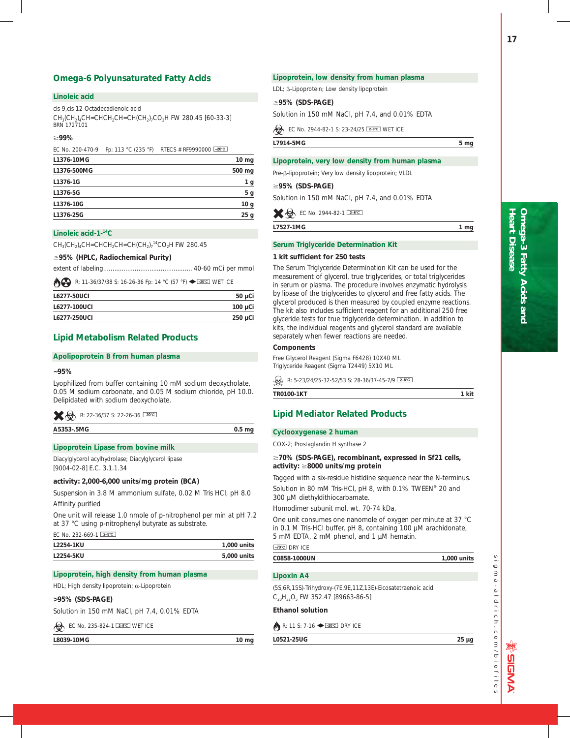## **Omega-6 Polyunsaturated Fatty Acids**

## **Linoleic acid**

*cis*-9,*cis*-12-Octadecadienoic acid

 $CH<sub>3</sub>(CH<sub>2</sub>)<sub>4</sub>CH=CHCH<sub>2</sub>CH=CH(CH<sub>2</sub>)<sub>7</sub>CO<sub>2</sub>H$  FW 280.45 [60-33-3] BRN 1727101

## ;**99%**

| EC No. 200-470-9 | Fp: 113 °C (235 °F) RTECS # RF9990000 $\sqrt{20^{\circ}C}$ |                  |
|------------------|------------------------------------------------------------|------------------|
| L1376-10MG       |                                                            | $10 \mathrm{mg}$ |
| L1376-500MG      |                                                            | 500 mg           |
| L1376-1G         |                                                            | 1 g              |
| L1376-5G         |                                                            | 5 g              |
| L1376-10G        |                                                            | 10 <sub>q</sub>  |
| L1376-25G        |                                                            | 25q              |

## **Linoleic acid-1-14C**

 $CH_3(CH_2)_4CH=CHCH_2CH=CH(CH_2)_7^{14}CO_2H$  FW 280.45

## ;**95% (HPLC, Radiochemical Purity)**

extent of labeling ................................................ 40-60 mCi per mmol

**B** R: 11-36/37/38 S: 16-26-36 Fp: 14 °C (57 °F)  $\blacklozenge$  **Exacci** WET ICE

| L6277-50UCL  | $50 \mu$ Ci  |
|--------------|--------------|
| L6277-100UCI | $100 \mu$ Ci |
| L6277-250UCI | $250 \mu$ Ci |
|              |              |

## **Lipid Metabolism Related Products**

## **Apolipoprotein B from human plasma**

## **~95%**

Lyophilized from buffer containing 10 mM sodium deoxycholate, 0.05 M sodium carbonate, and 0.05 M sodium chloride, pH 10.0. Delipidated with sodium deoxycholate.

|  | R: 22-36/37 S: 22-26-36 20°C |  |
|--|------------------------------|--|
|--|------------------------------|--|

**A5353-.5MG 0.5 mg**

## **Lipoprotein Lipase from bovine milk**

Diacylglycerol acylhydrolase; Diacylglycerol lipase [9004-02-8] E.C. 3.1.1.34

## **activity: 2,000-6,000 units/mg protein (BCA)**

Suspension in 3.8 M ammonium sulfate, 0.02 M Tris HCl, pH 8.0 Affinity purified

One unit will release 1.0 nmole of p-nitrophenol per min at pH 7.2 at 37 °C using p-nitrophenyl butyrate as substrate.

EC No. 232-669-1  $2-8$ °C

| L2254-1KU | 1.000 units |
|-----------|-------------|
| L2254-5KU | 5,000 units |

## **Lipoprotein, high density from human plasma**

HDL; High density lipoprotein;  $\alpha$ -Lipoprotein

## **>95% (SDS-PAGE)**

Solution in 150 mM NaCl, pH 7.4, 0.01% EDTA

## EC No. 235-824-1 **E-8°C** WET ICE

L8039-10MG 10 mg

## **Lipoprotein, low density from human plasma**

LDL;  $\beta$ -Lipoprotein; Low density lipoprotein

## ;**95% (SDS-PAGE)**

Solution in 150 mM NaCl, pH 7.4, and 0.01% EDTA

EC No. 2944-82-1 S: 23-24/25 **E-8°C** WET ICE

**L7914-5MG 5 mg**

a la sua

## **Lipoprotein, very low density from human plasma**

Pre-ß-lipoprotein; Very low density lipoprotein; VLDL

#### ;**95% (SDS-PAGE)**

Solution in 150 mM NaCl, pH 7.4, and 0.01% EDTA

|  | <del>X</del> ∞ EC No. 2944-82-1 2-8°C |  |
|--|---------------------------------------|--|
|  |                                       |  |

**L7527-1MG 1 mg**

## **Serum Triglyceride Determination Kit**

## **1 kit sufficient for 250 tests**

The Serum Triglyceride Determination Kit can be used for the measurement of glycerol, true triglycerides, or total triglycerides in serum or plasma. The procedure involves enzymatic hydrolysis by lipase of the triglycerides to glycerol and free fatty acids. The glycerol produced is then measured by coupled enzyme reactions. The kit also includes sufficient reagent for an additional 250 free glyceride tests for true triglyceride determination. In addition to kits, the individual reagents and glycerol standard are available separately when fewer reactions are needed.

## **Components**

Free Glycerol Reagent (Sigma F6428) 10X40 ML Triglyceride Reagent (Sigma T2449) 5X10 ML

 $\mathbb{Q}$  R: 5-23/24/25-32-52/53 S: 28-36/37-45-7/9 2-8°C

**TR0100-1KT** 1 kit

## **Lipid Mediator Related Products**

## **Cyclooxygenase 2 human**

COX-2; Prostaglandin H synthase 2

## ;**70% (SDS-PAGE), recombinant, expressed in** *Sf***21 cells, activity:** ;**8000 units/mg protein**

Tagged with a six-residue histidine sequence near the N-terminus.

Solution in 80 mM Tris-HCl, pH 8, with 0.1% TWEEN® 20 and 300 µM diethyldithiocarbamate.

Homodimer subunit mol. wt. 70-74 kDa.

One unit consumes one nanomole of oxygen per minute at 37 °C in 0.1 M Tris-HCl buffer, pH 8, containing 100 µM arachidonate, 5 mM EDTA, 2 mM phenol, and 1 µM hematin.

## $-70^{\circ}$ C DRY ICE

**C0858-1000UN 1,000 units**

## **Lipoxin A4**

(5S,6R,15S)-Trihydroxy-(7E,9E,11Z,13E)-Eicosatetraenoic acid  $C_{20}H_{32}O_5$  FW 352.47 [89663-86-5]

## **Ethanol solution**

 $\mathbb{R}$ : 11 S: 7-16  $\blacktriangleright$   $\frac{20^{\circ}C}{20^{\circ}C}$  DRY ICE

**L0521-25UG 25 µg**

sigma-aldrich.com/biofiles

 $a - a$  | drich.com/biofiles

**SIGMA** 

 $\overline{6}$  $\overline{3}$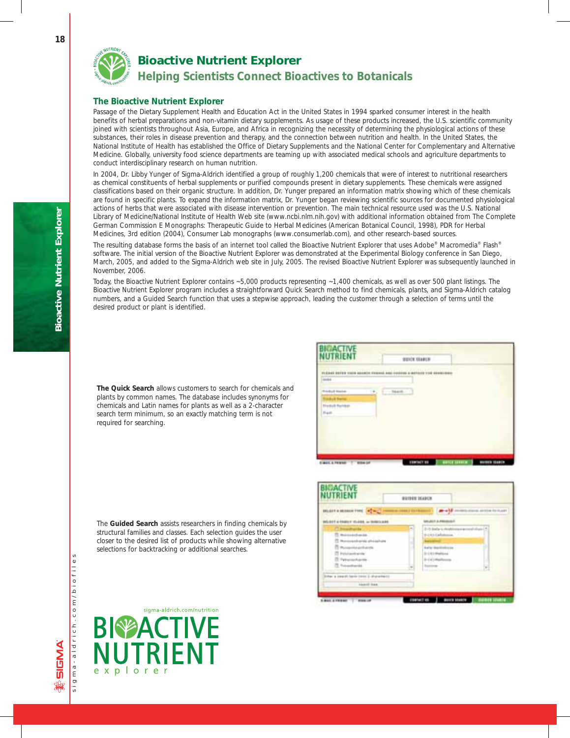*Bioactive Nutrient Explorer*

*Helping Scientists Connect Bioactives to Botanicals*

## **The Bioactive Nutrient Explorer**

Passage of the Dietary Supplement Health and Education Act in the United States in 1994 sparked consumer interest in the health benefits of herbal preparations and non-vitamin dietary supplements. As usage of these products increased, the U.S. scientific community joined with scientists throughout Asia, Europe, and Africa in recognizing the necessity of determining the physiological actions of these substances, their roles in disease prevention and therapy, and the connection between nutrition and health. In the United States, the National Institute of Health has established the Office of Dietary Supplements and the National Center for Complementary and Alternative Medicine. Globally, university food science departments are teaming up with associated medical schools and agriculture departments to conduct interdisciplinary research on human nutrition.

In 2004, Dr. Libby Yunger of Sigma-Aldrich identified a group of roughly 1,200 chemicals that were of interest to nutritional researchers as chemical constituents of herbal supplements or purified compounds present in dietary supplements. These chemicals were assigned classifications based on their organic structure. In addition, Dr. Yunger prepared an information matrix showing which of these chemicals are found in specific plants. To expand the information matrix, Dr. Yunger began reviewing scientific sources for documented physiological actions of herbs that were associated with disease intervention or prevention. The main technical resource used was the U.S. National Library of Medicine/National Institute of Health Web site (www.ncbi.nlm.nih.gov) with additional information obtained from The Complete German Commission E Monographs: Therapeutic Guide to Herbal Medicines (American Botanical Council, 1998), PDR for Herbal Medicines, 3rd edition (2004), Consumer Lab monographs (www.consumerlab.com), and other research-based sources.

The resulting database forms the basis of an internet tool called the Bioactive Nutrient Explorer that uses Adobe® Macromedia® Flash® software. The initial version of the Bioactive Nutrient Explorer was demonstrated at the Experimental Biology conference in San Diego, March, 2005, and added to the Sigma-Aldrich web site in July, 2005. The revised Bioactive Nutrient Explorer was subsequently launched in November, 2006.

Today, the Bioactive Nutrient Explorer contains ~5,000 products representing ~1,400 chemicals, as well as over 500 plant listings. The Bioactive Nutrient Explorer program includes a straightforward Quick Search method to find chemicals, plants, and Sigma-Aldrich catalog numbers, and a Guided Search function that uses a stepwise approach, leading the customer through a selection of terms until the desired product or plant is identified.

**The Quick Search** allows customers to search for chemicals and plants by common names. The database includes synonyms for chemicals and Latin names for plants as well as a 2-character search term minimum, so an exactly matching term is not required for searching.

| 113<br>'n                                                                                                    | <b>BEVER SEARCH</b>                                      |  |
|--------------------------------------------------------------------------------------------------------------|----------------------------------------------------------|--|
| <b>CARLO BART</b><br>----<br><b>HISPAN BRIDGE COORD</b><br>$\frac{1}{2}$<br><b>Holl Rental</b><br>٠<br>Frame | <b>ZOPPOSTER</b><br>participants.<br>494910<br>5440.00.1 |  |
|                                                                                                              |                                                          |  |

|                                                                                                                                                       | <b>BUILIE ICARCH</b> |                                                                                                                                                                          |
|-------------------------------------------------------------------------------------------------------------------------------------------------------|----------------------|--------------------------------------------------------------------------------------------------------------------------------------------------------------------------|
| <b>MADE INTERNATIONAL PROPERTY</b>                                                                                                                    | <b>HALLY ELFER</b>   | $-18 -$<br>Mills drawin, an bow fra thunder                                                                                                                              |
| SAIT & TANKY (SAID), as INNOCADO                                                                                                                      |                      | <b><i>Bullit &amp; Hinese</i></b>                                                                                                                                        |
| P. blackwide<br>T. Monocakothanda<br>23. Morrowandrama's ghosadium<br>The material and arrived<br>T Printwidtwide<br>T Tytomarkante<br>. It houstands | ۰                    | 2-5 Belg is restorance around<br>Bill Rd Callelinian   11112  <br><b>Burits Stanlinghood</b><br>$0.101$ Mathias<br>$0 = (4)$ (Fighterm) $^{-1}$<br><b>System ::</b><br>2 |
| (for a cause) have conce it disposited (<br><b><i>LAMING</i></b>                                                                                      |                      |                                                                                                                                                                          |

The **Guided Search** assists researchers in finding chemicals by structural families and classes. Each selection guides the user closer to the desired list of products while showing alternative selections for backtracking or additional searches.

sigma-aldrich.com/biofiles

sigma-aldrich.com/biofile

ENDER &

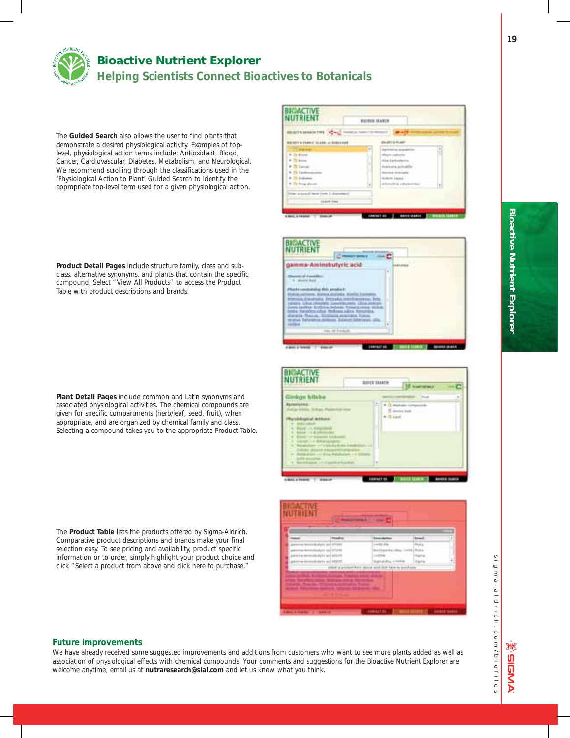

## *Bioactive Nutrient Explorer Helping Scientists Connect Bioactives to Botanicals*

The **Guided Search** also allows the user to find plants that demonstrate a desired physiological activity. Examples of toplevel, physiological action terms include: Antioxidant, Blood, Cancer, Cardiovascular, Diabetes, Metabolism, and Neurological. We recommend scrolling through the classifications used in the 'Physiological Action to Plant' Guided Search to identify the appropriate top-level term used for a given physiological action.

**Product Detail Pages** include structure family, class and subclass, alternative synonyms, and plants that contain the specific compound. Select "View All Products" to access the Product Table with product descriptions and brands.

**Plant Detail Pages** include common and Latin synonyms and associated physiological activities. The chemical compounds are given for specific compartments (herb/leaf, seed, fruit), when appropriate, and are organized by chemical family and class. Selecting a compound takes you to the appropriate Product Table.

The **Product Table** lists the products offered by Sigma-Aldrich. Comparative product descriptions and brands make your final selection easy. To see pricing and availability, product specific information or to order, simply highlight your product choice and click "Select a product from above and click here to purchase."



## **Future Improvements**

We have already received some suggested improvements and additions from customers who want to see more plants added as well as association of physiological effects with chemical compounds. Your comments and suggestions for the Bioactive Nutrient Explorer are welcome anytime; email us at **nutraresearch@sial.com** and let us know what you think.

sigma-aldrich.com/biofiles  $\overline{6}$  $\overline{a}$  $a - a$  | drich.com/biofiles

**繁日NAA**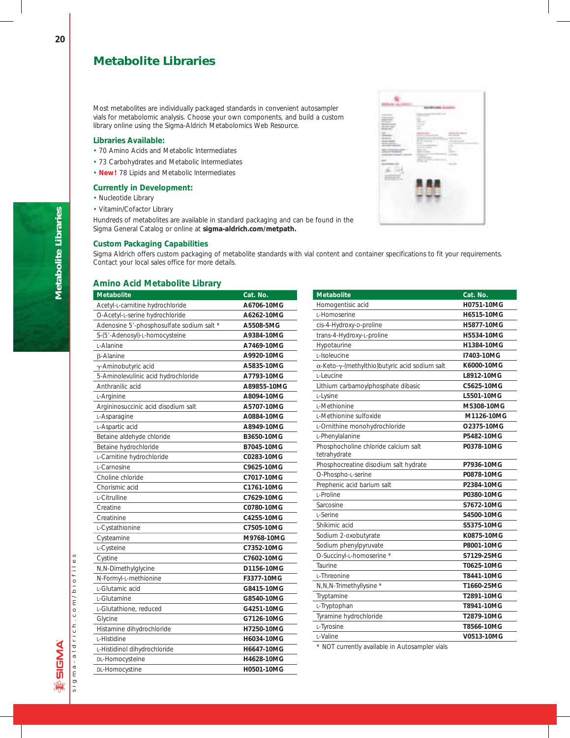## **Metabolite Libraries**

Most metabolites are individually packaged standards in convenient autosampler vials for metabolomic analysis. Choose your own components, and build a custom library online using the Sigma-Aldrich Metabolomics Web Resource.

## **Libraries Available:**

- 70 Amino Acids and Metabolic Intermediates
- 73 Carbohydrates and Metabolic Intermediates
- **New!** 78 Lipids and Metabolic Intermediates

## **Currently in Development:**

- Nucleotide Library
- Vitamin/Cofactor Library

Hundreds of metabolites are available in standard packaging and can be found in the Sigma General Catalog or online at **sigma-aldrich.com/metpath.**

## **Custom Packaging Capabilities**

Sigma Aldrich offers custom packaging of metabolite standards with vial content and container specifications to fit your requirements. Contact your local sales office for more details.

## **Amino Acid Metabolite Library**

| <b>Metabolite</b>                         | Cat. No.    |
|-------------------------------------------|-------------|
| Acetyl-L-carnitine hydrochloride          | A6706-10MG  |
| O-Acetyl-L-serine hydrochloride           | A6262-10MG  |
| Adenosine 5'-phosphosulfate sodium salt * | A5508-5MG   |
| S-(5'-Adenosyl)-L-homocysteine            | A9384-10MG  |
| L-Alanine                                 | A7469-10MG  |
| <b>B-Alanine</b>                          | A9920-10MG  |
| γ-Aminobutyric acid                       | A5835-10MG  |
| 5-Aminolevulinic acid hydrochloride       | A7793-10MG  |
| Anthranilic acid                          | A89855-10MG |
| L-Arginine                                | A8094-10MG  |
| Argininosuccinic acid disodium salt       | A5707-10MG  |
| L-Asparagine                              | A0884-10MG  |
| L-Aspartic acid                           | A8949-10MG  |
| Betaine aldehyde chloride                 | B3650-10MG  |
| Betaine hydrochloride                     | B7045-10MG  |
| L-Carnitine hydrochloride                 | C0283-10MG  |
| L-Carnosine                               | C9625-10MG  |
| Choline chloride                          | C7017-10MG  |
| Chorismic acid                            | C1761-10MG  |
| L-Citrulline                              | C7629-10MG  |
| Creatine                                  | C0780-10MG  |
| Creatinine                                | C4255-10MG  |
| L-Cystathionine                           | C7505-10MG  |
| Cysteamine                                | M9768-10MG  |
| L-Cysteine                                | C7352-10MG  |
| Cystine                                   | C7602-10MG  |
| N,N-Dimethylglycine                       | D1156-10MG  |
| N-Formyl-L-methionine                     | F3377-10MG  |
| L-Glutamic acid                           | G8415-10MG  |
| L-Glutamine                               | G8540-10MG  |
| L-Glutathione, reduced                    | G4251-10MG  |
| Glycine                                   | G7126-10MG  |
| Histamine dihydrochloride                 | H7250-10MG  |
| L-Histidine                               | H6034-10MG  |
| L-Histidinol dihydrochloride              | H6647-10MG  |
| DL-Homocysteine                           | H4628-10MG  |
| DL-Homocystine                            | H0501-10MG  |

| <b>Metabolite</b>                                    | Cat. No.   |
|------------------------------------------------------|------------|
| Homogentisic acid                                    | H0751-10MG |
| L-Homoserine                                         | H6515-10MG |
| cis-4-Hydroxy-D-proline                              | H5877-10MG |
| trans-4-Hydroxy-L-proline                            | H5534-10MG |
| Hypotaurine                                          | H1384-10MG |
| L-Isoleucine                                         | I7403-10MG |
| α-Keto-γ-(methylthio)butyric acid sodium salt        | K6000-10MG |
| L-Leucine                                            | L8912-10MG |
| Lithium carbamoylphosphate dibasic                   | C5625-10MG |
| L-Lysine                                             | L5501-10MG |
| L-Methionine                                         | M5308-10MG |
| L-Methionine sulfoxide                               | M1126-10MG |
| L-Ornithine monohydrochloride                        | O2375-10MG |
| L-Phenylalanine                                      | P5482-10MG |
| Phosphocholine chloride calcium salt<br>tetrahydrate | P0378-10MG |
| Phosphocreatine disodium salt hydrate                | P7936-10MG |
| O-Phospho-L-serine                                   | P0878-10MG |
| Prephenic acid barium salt                           | P2384-10MG |
| <b>I-Proline</b>                                     | P0380-10MG |
| Sarcosine                                            | S7672-10MG |
| <b>I-Serine</b>                                      | S4500-10MG |
| Shikimic acid                                        | S5375-10MG |
| Sodium 2-oxobutyrate                                 | K0875-10MG |
| Sodium phenylpyruvate                                | P8001-10MG |
| O-Succinyl-L-homoserine *                            | S7129-25MG |
| Taurine                                              | T0625-10MG |
| L-Threonine                                          | T8441-10MG |
| N, N, N-Trimethyllysine *                            | T1660-25MG |
| Tryptamine                                           | T2891-10MG |
| L-Tryptophan                                         | T8941-10MG |
| Tyramine hydrochloride                               | T2879-10MG |
| L-Tyrosine                                           | T8566-10MG |
| L-Valine                                             | V0513-10MG |
|                                                      |            |

\* NOT currently available in Autosampler vials



**Metabolite Libraries**

Metabolite Libraries

sigma-aldrich.com/biofiles

sigma-aldrich.com/biofiles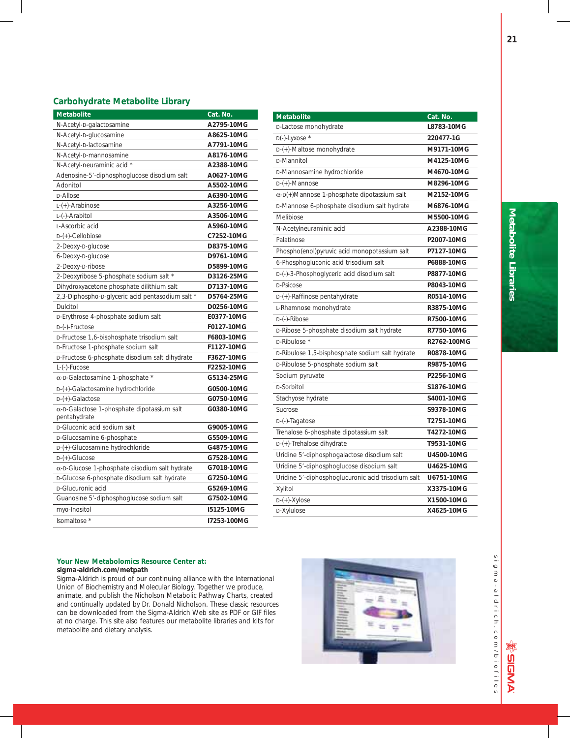## **Carbohydrate Metabolite Library**

| <b>Metabolite</b>                                                  | Cat. No.    |
|--------------------------------------------------------------------|-------------|
| N-Acetyl-D-galactosamine                                           | A2795-10MG  |
| N-Acetyl-D-glucosamine                                             | A8625-10MG  |
| N-Acetyl-D-lactosamine                                             | A7791-10MG  |
| N-Acetyl-D-mannosamine                                             | A8176-10MG  |
| N-Acetyl-neuraminic acid *                                         | A2388-10MG  |
| Adenosine-5'-diphosphoglucose disodium salt                        | A0627-10MG  |
| Adonitol                                                           | A5502-10MG  |
| <b>D-Allose</b>                                                    | A6390-10MG  |
| L-(+)-Arabinose                                                    | A3256-10MG  |
| L-(-)-Arabitol                                                     | A3506-10MG  |
| L-Ascorbic acid                                                    | A5960-10MG  |
| D-(+)-Cellobiose                                                   | C7252-10MG  |
| 2-Deoxy-D-glucose                                                  | D8375-10MG  |
| 6-Deoxy-D-glucose                                                  | D9761-10MG  |
| 2-Deoxy-D-ribose                                                   | D5899-10MG  |
| 2-Deoxyribose 5-phosphate sodium salt *                            | D3126-25MG  |
| Dihydroxyacetone phosphate dilithium salt                          | D7137-10MG  |
| 2,3-Diphospho-D-glyceric acid pentasodium salt *                   | D5764-25MG  |
| Dulcitol                                                           | D0256-10MG  |
| D-Erythrose 4-phosphate sodium salt                                | E0377-10MG  |
| D-(-)-Fructose                                                     | F0127-10MG  |
| D-Fructose 1,6-bisphosphate trisodium salt                         | F6803-10MG  |
| D-Fructose 1-phosphate sodium salt                                 | F1127-10MG  |
| D-Fructose 6-phosphate disodium salt dihydrate                     | F3627-10MG  |
| L-(-)-Fucose                                                       | F2252-10MG  |
| $\alpha$ -D-Galactosamine 1-phosphate *                            | G5134-25MG  |
| D-(+)-Galactosamine hydrochloride                                  | G0500-10MG  |
| $D-(+)$ -Galactose                                                 | G0750-10MG  |
| $\alpha$ -D-Galactose 1-phosphate dipotassium salt<br>pentahydrate | G0380-10MG  |
| D-Gluconic acid sodium salt                                        | G9005-10MG  |
| D-Glucosamine 6-phosphate                                          | G5509-10MG  |
| D-(+)-Glucosamine hydrochloride                                    | G4875-10MG  |
| $D-(+)$ -Glucose                                                   | G7528-10MG  |
| $\alpha$ -D-Glucose 1-phosphate disodium salt hydrate              | G7018-10MG  |
| D-Glucose 6-phosphate disodium salt hydrate                        | G7250-10MG  |
| D-Glucuronic acid                                                  | G5269-10MG  |
| Guanosine 5'-diphosphoglucose sodium salt                          | G7502-10MG  |
| myo-Inositol                                                       | I5125-10MG  |
| Isomaltose *                                                       | I7253-100MG |

| <b>Metabolite</b>                                  | Cat. No.    |
|----------------------------------------------------|-------------|
| D-Lactose monohydrate                              | L8783-10MG  |
| $D(-)$ -Lyxose *                                   | 220477-1G   |
| D-(+)-Maltose monohydrate                          | M9171-10MG  |
| <b>D-Mannitol</b>                                  | M4125-10MG  |
| D-Mannosamine hydrochloride                        | M4670-10MG  |
| $D-(+)$ -Mannose                                   | M8296-10MG  |
| $\alpha$ -D(+)Mannose 1-phosphate dipotassium salt | M2152-10MG  |
| D-Mannose 6-phosphate disodium salt hydrate        | M6876-10MG  |
| Melibiose                                          | M5500-10MG  |
| N-Acetylneuraminic acid                            | A2388-10MG  |
| Palatinose                                         | P2007-10MG  |
| Phospho(enol)pyruvic acid monopotassium salt       | P7127-10MG  |
| 6-Phosphogluconic acid trisodium salt              | P6888-10MG  |
| D-(-)-3-Phosphoglyceric acid disodium salt         | P8877-10MG  |
| D-Psicose                                          | P8043-10MG  |
| D-(+)-Raffinose pentahydrate                       | R0514-10MG  |
| L-Rhamnose monohydrate                             | R3875-10MG  |
| D-(-)-Ribose                                       | R7500-10MG  |
| D-Ribose 5-phosphate disodium salt hydrate         | R7750-10MG  |
| D-Ribulose *                                       | R2762-100MG |
| D-Ribulose 1,5-bisphosphate sodium salt hydrate    | R0878-10MG  |
| D-Ribulose 5-phosphate sodium salt                 | R9875-10MG  |
| Sodium pyruvate                                    | P2256-10MG  |
| D-Sorbitol                                         | S1876-10MG  |
| Stachyose hydrate                                  | S4001-10MG  |
| Sucrose                                            | S9378-10MG  |
| D-(-)-Tagatose                                     | T2751-10MG  |
| Trehalose 6-phosphate dipotassium salt             | T4272-10MG  |
| D-(+)-Trehalose dihydrate                          | T9531-10MG  |
| Uridine 5'-diphosphogalactose disodium salt        | U4500-10MG  |
| Uridine 5'-diphosphoglucose disodium salt          | U4625-10MG  |
| Uridine 5'-diphosphoglucuronic acid trisodium salt | U6751-10MG  |
| Xylitol                                            | X3375-10MG  |
| $D-(+)$ -Xylose                                    | X1500-10MG  |
| D-Xylulose                                         | X4625-10MG  |

## **Your New Metabolomics Resource Center at: sigma-aldrich.com/metpath**

Sigma-Aldrich is proud of our continuing alliance with the International Union of Biochemistry and Molecular Biology. Together we produce, animate, and publish the Nicholson Metabolic Pathway Charts, created and continually updated by Dr. Donald Nicholson. These classic resources can be downloaded from the Sigma-Aldrich Web site as PDF or GIF files at no charge. This site also features our metabolite libraries and kits for metabolite and dietary analysis.





sigma-aldrich.com/biofiles sigma-aldrich.com/biofiles

**※ DIBMA**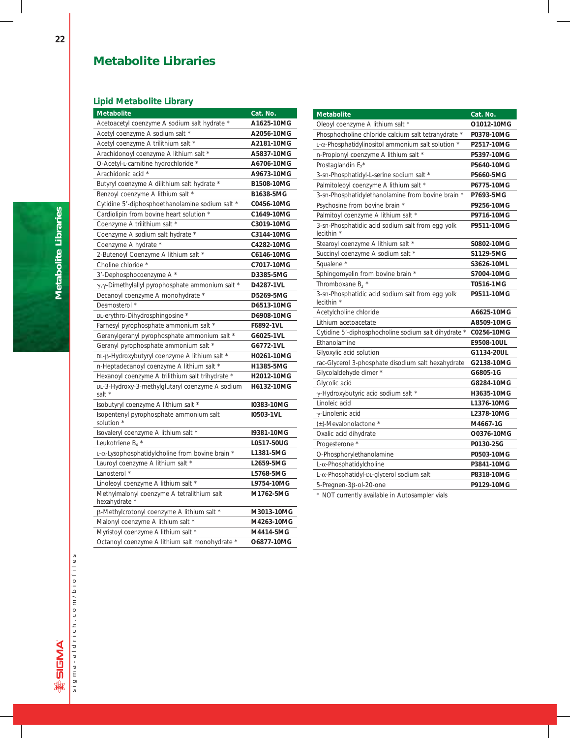## **Metabolite Libraries**

## **Lipid Metabolite Library**

| <b>Metabolite</b>                                           | Cat. No.   |
|-------------------------------------------------------------|------------|
| Acetoacetyl coenzyme A sodium salt hydrate *                | A1625-10MG |
| Acetyl coenzyme A sodium salt *                             | A2056-10MG |
| Acetyl coenzyme A trilithium salt *                         | A2181-10MG |
| Arachidonoyl coenzyme A lithium salt *                      | A5837-10MG |
| O-Acetyl-L-carnitine hydrochloride *                        | A6706-10MG |
| Arachidonic acid *                                          | A9673-10MG |
| Butyryl coenzyme A dilithium salt hydrate *                 | B1508-10MG |
| Benzoyl coenzyme A lithium salt *                           | B1638-5MG  |
| Cytidine 5'-diphosphoethanolamine sodium salt *             | C0456-10MG |
| Cardiolipin from bovine heart solution *                    | C1649-10MG |
| Coenzyme A trilithium salt *                                | C3019-10MG |
| Coenzyme A sodium salt hydrate *                            | C3144-10MG |
| Coenzyme A hydrate *                                        | C4282-10MG |
| 2-Butenoyl Coenzyme A lithium salt *                        | C6146-10MG |
| Choline chloride *                                          | C7017-10MG |
| 3'-Dephosphocoenzyme A *                                    | D3385-5MG  |
| γ, γ-Dimethylallyl pyrophosphate ammonium salt *            | D4287-1VL  |
| Decanoyl coenzyme A monohydrate *                           | D5269-5MG  |
| Desmosterol *                                               | D6513-10MG |
| DL-erythro-Dihydrosphingosine *                             | D6908-10MG |
| Farnesyl pyrophosphate ammonium salt *                      | F6892-1VL  |
| Geranylgeranyl pyrophosphate ammonium salt *                | G6025-1VL  |
| Geranyl pyrophosphate ammonium salt *                       | G6772-1VL  |
| DL-β-Hydroxybutyryl coenzyme A lithium salt *               | H0261-10MG |
| n-Heptadecanoyl coenzyme A lithium salt *                   | H1385-5MG  |
| Hexanoyl coenzyme A trilithium salt trihydrate *            | H2012-10MG |
| DL-3-Hydroxy-3-methylglutaryl coenzyme A sodium<br>salt *   | H6132-10MG |
| Isobutyryl coenzyme A lithium salt *                        | I0383-10MG |
| Isopentenyl pyrophosphate ammonium salt<br>solution *       | I0503-1VL  |
| Isovaleryl coenzyme A lithium salt *                        | 19381-10MG |
| Leukotriene B <sub>4</sub> *                                | L0517-50UG |
| $L-\alpha$ -Lysophosphatidylcholine from bovine brain *     | L1381-5MG  |
| Lauroyl coenzyme A lithium salt *                           | L2659-5MG  |
| Lanosterol *                                                | L5768-5MG  |
| Linoleoyl coenzyme A lithium salt *                         | L9754-10MG |
| Methylmalonyl coenzyme A tetralithium salt<br>hexahydrate ' | M1762-5MG  |
| β-Methylcrotonyl coenzyme A lithium salt *                  | M3013-10MG |
| Malonyl coenzyme A lithium salt *                           | M4263-10MG |
| Myristoyl coenzyme A lithium salt *                         | M4414-5MG  |
| Octanoyl coenzyme A lithium salt monohydrate *              | O6877-10MG |

| <b>Metabolite</b>                                              | Cat. No.   |
|----------------------------------------------------------------|------------|
| Oleoyl coenzyme A lithium salt *                               | O1012-10MG |
| Phosphocholine chloride calcium salt tetrahydrate *            | P0378-10MG |
| L-α-Phosphatidylinositol ammonium salt solution *              | P2517-10MG |
| n-Propionyl coenzyme A lithium salt *                          | P5397-10MG |
| Prostaglandin $E_2^*$                                          | P5640-10MG |
| 3-sn-Phosphatidyl-L-serine sodium salt *                       | P5660-5MG  |
| Palmitoleoyl coenzyme A lithium salt *                         | P6775-10MG |
| 3-sn-Phosphatidylethanolamine from bovine brain                | P7693-5MG  |
| Psychosine from bovine brain *                                 | P9256-10MG |
| Palmitoyl coenzyme A lithium salt *                            | P9716-10MG |
| 3-sn-Phosphatidic acid sodium salt from egg yolk<br>lecithin * | P9511-10MG |
| Stearoyl coenzyme A lithium salt *                             | S0802-10MG |
| Succinyl coenzyme A sodium salt *                              | S1129-5MG  |
| Squalene *                                                     | S3626-10ML |
| Sphingomyelin from bovine brain *                              | S7004-10MG |
| Thromboxane $B_2$ *                                            | T0516-1MG  |
| 3-sn-Phosphatidic acid sodium salt from egg yolk<br>lecithin * | P9511-10MG |
| Acetylcholine chloride                                         | A6625-10MG |
| Lithium acetoacetate                                           | A8509-10MG |
| Cytidine 5'-diphosphocholine sodium salt dihydrate *           | C0256-10MG |
| Ethanolamine                                                   | E9508-10UL |
| Glyoxylic acid solution                                        | G1134-20UL |
| rac-Glycerol 3-phosphate disodium salt hexahydrate             | G2138-10MG |
| Glycolaldehyde dimer *                                         | G6805-1G   |
| Glycolic acid                                                  | G8284-10MG |
| γ-Hydroxybutyric acid sodium salt *                            | H3635-10MG |
| Linoleic acid                                                  | L1376-10MG |
| y-Linolenic acid                                               | L2378-10MG |
| $(\pm)$ -Mevalonolactone *                                     | M4667-1G   |
| Oxalic acid dihydrate                                          | O0376-10MG |
| Progesterone *                                                 | P0130-25G  |
| O-Phosphorylethanolamine                                       | P0503-10MG |
| $L-\alpha$ -Phosphatidylcholine                                | P3841-10MG |
| L-α-Phosphatidyl-DL-glycerol sodium salt                       | P8318-10MG |
| 5-Pregnen-3ß-ol-20-one                                         | P9129-10MG |

\* NOT currently available in Autosampler vials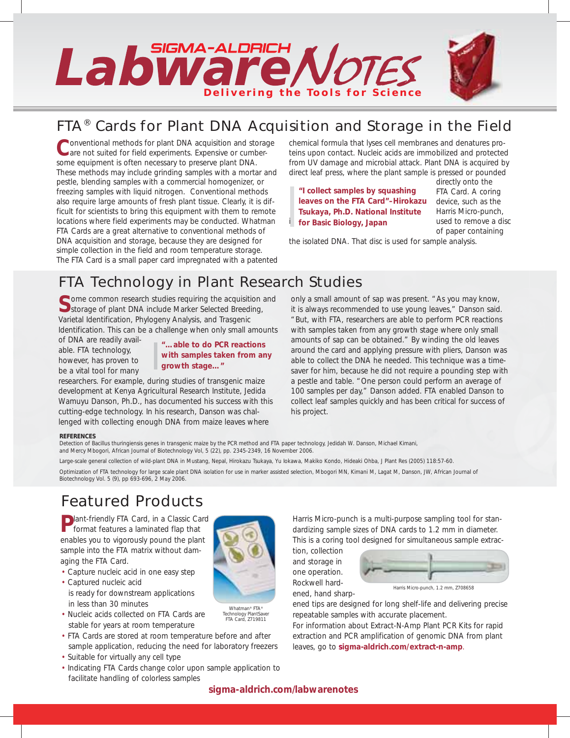

# *FTA® Cards for Plant DNA Acquisition and Storage in the Field*

**C**onventional methods for plant DNA acquisition and storage are not suited for field experiments. Expensive or cumbersome equipment is often necessary to preserve plant DNA. These methods may include grinding samples with a mortar and pestle, blending samples with a commercial homogenizer, or freezing samples with liquid nitrogen. Conventional methods also require large amounts of fresh plant tissue. Clearly, it is difficult for scientists to bring this equipment with them to remote locations where field experiments may be conducted. Whatman FTA Cards are a great alternative to conventional methods of DNA acquisition and storage, because they are designed for simple collection in the field and room temperature storage. The FTA Card is a small paper card impregnated with a patented chemical formula that lyses cell membranes and denatures proteins upon contact. Nucleic acids are immobilized and protected from UV damage and microbial attack. Plant DNA is acquired by direct leaf press, where the plant sample is pressed or pounded

*i* for **Basic Biology, Japan** used to remove a disc *"I collect samples by squashing leaves on the FTA Card"–Hirokazu Tsukaya, Ph.D. National Institute* 

directly onto the FTA Card. A coring device, such as the Harris Micro-punch, of paper containing

the isolated DNA. That disc is used for sample analysis.

# *FTA Technology in Plant Research Studies*

**Some common research studies requiring the acquisition and** Storage of plant DNA include Marker Selected Breeding, Varietal Identification, Phylogeny Analysis, and Trasgenic Identification. This can be a challenge when only small amounts

of DNA are readily available. FTA technology, however, has proven to be a vital tool for many

*"…able to do PCR reactions with samples taken from any growth stage…"*

researchers. For example, during studies of transgenic maize development at Kenya Agricultural Research Institute, Jedida Wamuyu Danson, Ph.D., has documented his success with this cutting-edge technology. In his research, Danson was challenged with collecting enough DNA from maize leaves where

only a small amount of sap was present. "As you may know, it is always recommended to use young leaves," Danson said. "But, with FTA, researchers are able to perform PCR reactions with samples taken from any growth stage where only small amounts of sap can be obtained." By winding the old leaves around the card and applying pressure with pliers, Danson was able to collect the DNA he needed. This technique was a timesaver for him, because he did not require a pounding step with a pestle and table. "One person could perform an average of 100 samples per day," Danson added. FTA enabled Danson to collect leaf samples quickly and has been critical for success of his project.

## *REFERENCES*

*Detection of Bacillus thuringiensis genes in transgenic maize by the PCR method and FTA paper technology, Jedidah W. Danson, Michael Kimani, and Mercy Mbogori, African Journal of Biotechnology Vol, 5 (22), pp. 2345-2349, 16 November 2006.*

> Whatman® FTA® Technology PlantSaver FTA Card, Z719811

La*rge-scale general collection of wild-plant DNA in Mustang, Nepal, Hirokazu Tsukaya, Yu Iokawa, Makiko Kondo, Hideaki Ohba, J Plant Res (2005) 118:57-60.*

*Optimization of FTA technology for large scale plant DNA isolation for use in marker assisted selection, Mbogori MN, Kimani M, Lagat M, Danson, JW, African Journal of Biotechnology Vol. 5 (9), pp 693-696, 2 May 2006.*

# *Featured Products*

**P**lant-friendly FTA Card, in a Classic Card format features a laminated flap that enables you to vigorously pound the plant sample into the FTA matrix without damaging the FTA Card.

- Capture nucleic acid in one easy step
- Captured nucleic acid is ready for downstream applications in less than 30 minutes
- Nucleic acids collected on FTA Cards are stable for years at room temperature
- FTA Cards are stored at room temperature before and after sample application, reducing the need for laboratory freezers
- Suitable for virtually any cell type
- Indicating FTA Cards change color upon sample application to facilitate handling of colorless samples

Harris Micro-punch is a multi-purpose sampling tool for standardizing sample sizes of DNA cards to 1.2 mm in diameter. This is a coring tool designed for simultaneous sample extrac-

tion, collection and storage in one operation. Rockwell hardened, hand sharp-



Harris Micro-punch, 1.2 mm, Z708658

ened tips are designed for long shelf-life and delivering precise repeatable samples with accurate placement.

For information about Extract-N-Amp Plant PCR Kits for rapid extraction and PCR amplification of genomic DNA from plant leaves, go to **sigma-aldrich.com/extract-n-amp**.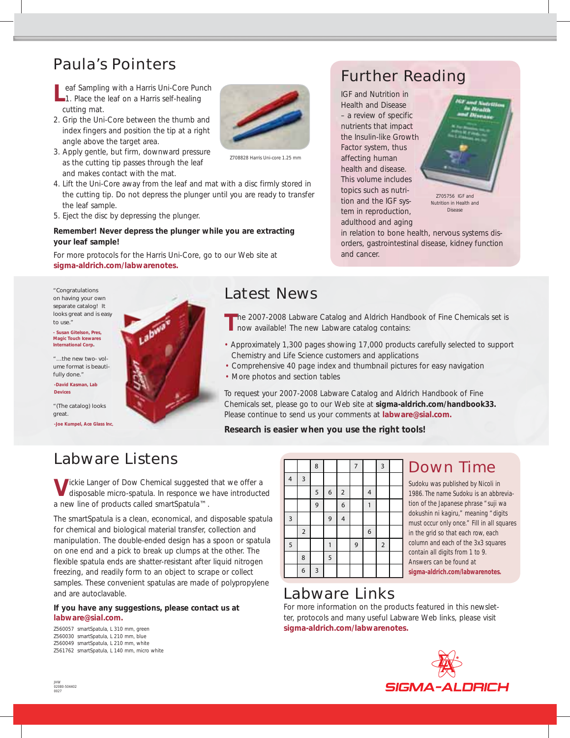# *Paula's Pointers*

- **Leaf Sampling with a Harris Uni-Core Punch**<br>
1. Place the leaf on a Harris self-healing cutting mat.
- 2. Grip the Uni-Core between the thumb and index fingers and position the tip at a right angle above the target area.
- 3. Apply gentle, but firm, downward pressure as the cutting tip passes through the leaf and makes contact with the mat.
- 4. Lift the Uni-Core away from the leaf and mat with a disc firmly stored in the cutting tip. Do not depress the plunger until you are ready to transfer the leaf sample.
- 5. Eject the disc by depressing the plunger.

## *Remember! Never depress the plunger while you are extracting your leaf sample!*

For more protocols for the Harris Uni-Core, go to our Web site at **sigma-aldrich.com/labwarenotes.**

*"Congratulations on having your own separate catalog! It looks great and is easy to use."* 

*- Susan Gitelson, Pres, Magic Touch Icewares International Corp.*

*"…the new two- volume format is beautifully done."*

*-David Kasman, Lab Devices*

*"(The catalog) looks great. -Joe Kumpel, Ace Glass Inc.*





Z708828 Harris Uni-core 1.25 mm

# *Further Reading*

*IGF and Nutrition in Health and Disease* – a review of specific nutrients that impact the Insulin-like Growth Factor system, thus affecting human health and disease. This volume includes topics such as nutrition and the IGF system in reproduction, adulthood and aging



Disease

in relation to bone health, nervous systems disorders, gastrointestinal disease, kidney function and cancer.

# *Latest News*

**T**he 2007-2008 Labware Catalog and Aldrich Handbook of Fine Chemicals set is now available! The new Labware catalog contains:

- Approximately 1,300 pages showing 17,000 products carefully selected to support Chemistry and Life Science customers and applications
- Comprehensive 40 page index and thumbnail pictures for easy navigation
- More photos and section tables

To request your 2007-2008 Labware Catalog and Aldrich Handbook of Fine Chemicals set, please go to our Web site at **sigma-aldrich.com/handbook33.** Please continue to send us your comments at **labware@sial.com.**

## *Research is easier when you use the right tools!*

# *Labware Listens*

**V**ickie Langer of Dow Chemical suggested that we offer a disposable micro-spatula. In responce we have introducted a new line of products called smartSpatula™.

The smartSpatula is a clean, economical, and disposable spatula for chemical and biological material transfer, collection and manipulation. The double-ended design has a spoon or spatula on one end and a pick to break up clumps at the other. The flexible spatula ends are shatter-resistant after liquid nitrogen freezing, and readily form to an object to scrape or collect samples. These convenient spatulas are made of polypropylene and are autoclavable.

## **If you have any suggestions, please contact us at labware@sial.com.**

*Z560057 smartSpatula, L 310 mm, green Z560030 smartSpatula, L 210 mm, blue Z560049 smartSpatula, L 210 mm, white Z561762 smartSpatula, L 140 mm, micro white*

|                         |                         | 8              |                  |                | $\overline{7}$ |   | 3              |  |
|-------------------------|-------------------------|----------------|------------------|----------------|----------------|---|----------------|--|
| $\overline{4}$          | $\overline{\mathbf{3}}$ |                |                  |                |                |   |                |  |
|                         |                         | $\sqrt{5}$     | $\boldsymbol{6}$ | $\overline{c}$ |                | 4 |                |  |
|                         |                         | $\overline{9}$ |                  | 6              |                | 1 |                |  |
| $\overline{\mathbf{3}}$ |                         |                | 9                | 4              |                |   |                |  |
|                         | $\mathbf 2$             |                |                  |                |                | 6 |                |  |
| $\overline{5}$          |                         |                | 1                |                | 9              |   | $\overline{2}$ |  |
|                         | 8                       |                | 5                |                |                |   |                |  |
|                         | 6                       | $\overline{3}$ |                  |                |                |   |                |  |

# Down Time

Sudoku was published by Nicoli in 1986. The name Sudoku is an abbreviation of the Japanese phrase "suji wa dokushin ni kagiru," meaning "digits must occur only once." Fill in all squares in the grid so that each row, each column and each of the 3x3 squares contain all digits from 1 to 9. Answers can be found at **sigma-aldrich.com/labwarenotes.**

# *Labware Links*

For more information on the products featured in this newsletter, protocols and many useful Labware Web links, please visit **sigma-aldrich.com/labwarenotes.** 

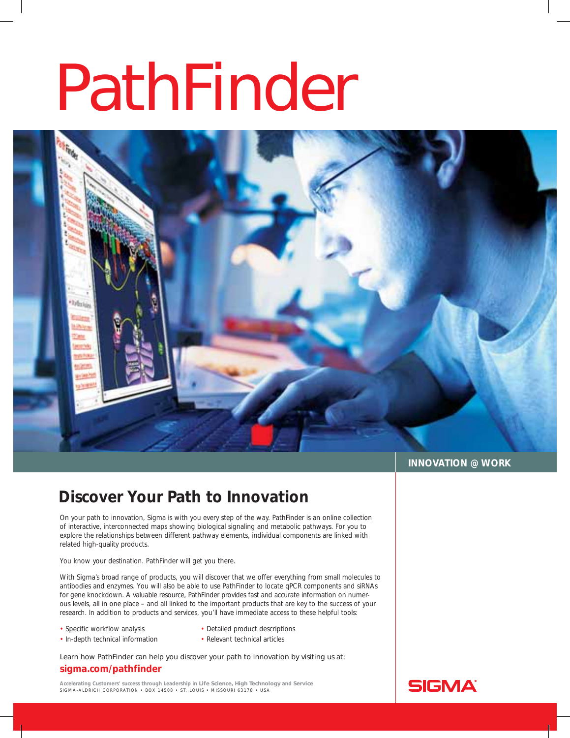# PathFinder



## **INNOVATION @ WORK**

## **Discover Your Path to Innovation**

On your path to innovation, Sigma is with you every step of the way. PathFinder is an online collection of interactive, interconnected maps showing biological signaling and metabolic pathways. For you to explore the relationships between different pathway elements, individual components are linked with related high-quality products.

You know your destination. PathFinder will get you there.

With Sigma's broad range of products, you will discover that we offer everything from small molecules to antibodies and enzymes. You will also be able to use PathFinder to locate qPCR components and siRNAs for gene knockdown. A valuable resource, PathFinder provides fast and accurate information on numerous levels, all in one place – and all linked to the important products that are key to the success of your research. In addition to products and services, you'll have immediate access to these helpful tools:

- Specific workflow analysis
- Detailed product descriptions
- In-depth technical information
- Relevant technical articles

Learn how PathFinder can help you discover your path to innovation by visiting us at:

## **sigma.com/pathfinder**

**Accelerating Customers' success through Leadership in Life Science, High Technology and Service** SIGMA-ALDRICH CORPORATION • BOX 14508 • ST. LOUIS • MISSOURI 63178 • USA